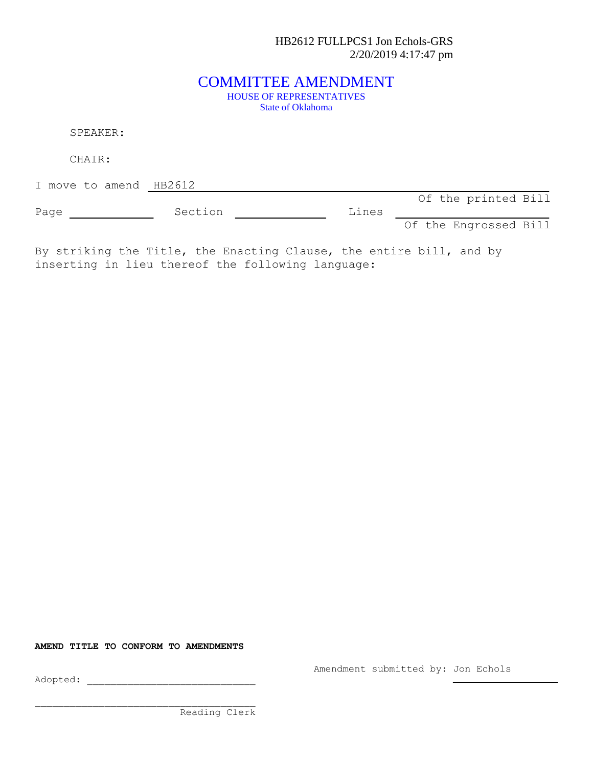HB2612 FULLPCS1 Jon Echols-GRS 2/20/2019 4:17:47 pm

## COMMITTEE AMENDMENT HOUSE OF REPRESENTATIVES State of Oklahoma

SPEAKER:

CHAIR:

I move to amend HB2612

Of the printed Bill

Page Section Constants Dines Of the Engrossed Bill

By striking the Title, the Enacting Clause, the entire bill, and by inserting in lieu thereof the following language:

**AMEND TITLE TO CONFORM TO AMENDMENTS**

Amendment submitted by: Jon Echols

Adopted: \_\_\_\_\_\_\_\_\_\_\_\_\_\_\_\_\_\_\_\_\_\_\_\_\_\_\_\_\_

Reading Clerk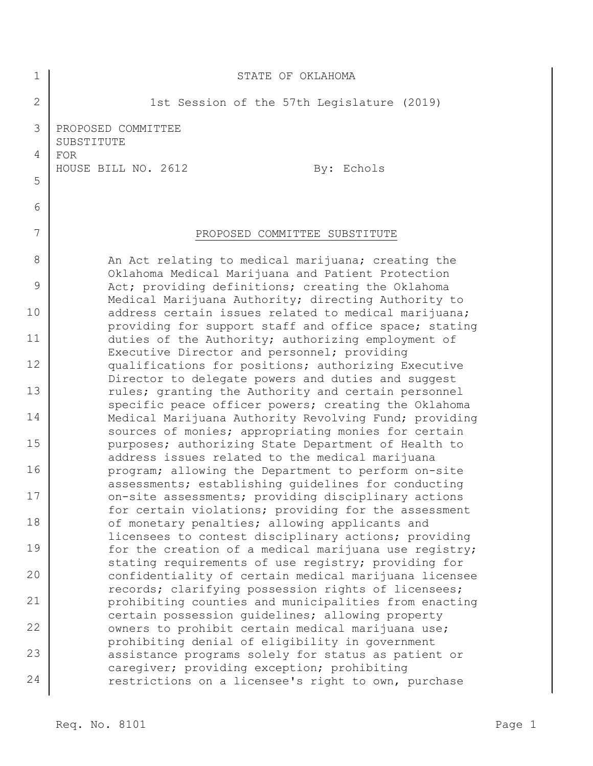| 1              | STATE OF OKLAHOMA                                                                                             |
|----------------|---------------------------------------------------------------------------------------------------------------|
| $\overline{2}$ | 1st Session of the 57th Legislature (2019)                                                                    |
| 3              | PROPOSED COMMITTEE<br>SUBSTITUTE                                                                              |
| 4              | <b>FOR</b><br>HOUSE BILL NO. 2612<br>By: Echols                                                               |
| 5              |                                                                                                               |
| 6              |                                                                                                               |
| 7              | PROPOSED COMMITTEE SUBSTITUTE                                                                                 |
| 8              | An Act relating to medical marijuana; creating the<br>Oklahoma Medical Marijuana and Patient Protection       |
| 9              | Act; providing definitions; creating the Oklahoma<br>Medical Marijuana Authority; directing Authority to      |
| 10             | address certain issues related to medical marijuana;<br>providing for support staff and office space; stating |
| 11             | duties of the Authority; authorizing employment of                                                            |
| 12             | Executive Director and personnel; providing<br>qualifications for positions; authorizing Executive            |
| 13             | Director to delegate powers and duties and suggest<br>rules; granting the Authority and certain personnel     |
| 14             | specific peace officer powers; creating the Oklahoma<br>Medical Marijuana Authority Revolving Fund; providing |
| 15             | sources of monies; appropriating monies for certain<br>purposes; authorizing State Department of Health to    |
| 16             | address issues related to the medical marijuana<br>program; allowing the Department to perform on-site        |
| $17$           | assessments; establishing guidelines for conducting<br>on-site assessments; providing disciplinary actions    |
| 18             | for certain violations; providing for the assessment<br>of monetary penalties; allowing applicants and        |
| 19             | licensees to contest disciplinary actions; providing<br>for the creation of a medical marijuana use registry; |
| 20             | stating requirements of use registry; providing for<br>confidentiality of certain medical marijuana licensee  |
| 21             | records; clarifying possession rights of licensees;<br>prohibiting counties and municipalities from enacting  |
| 22             | certain possession quidelines; allowing property<br>owners to prohibit certain medical marijuana use;         |
| 23             | prohibiting denial of eligibility in government<br>assistance programs solely for status as patient or        |
| 24             | caregiver; providing exception; prohibiting<br>restrictions on a licensee's right to own, purchase            |
|                |                                                                                                               |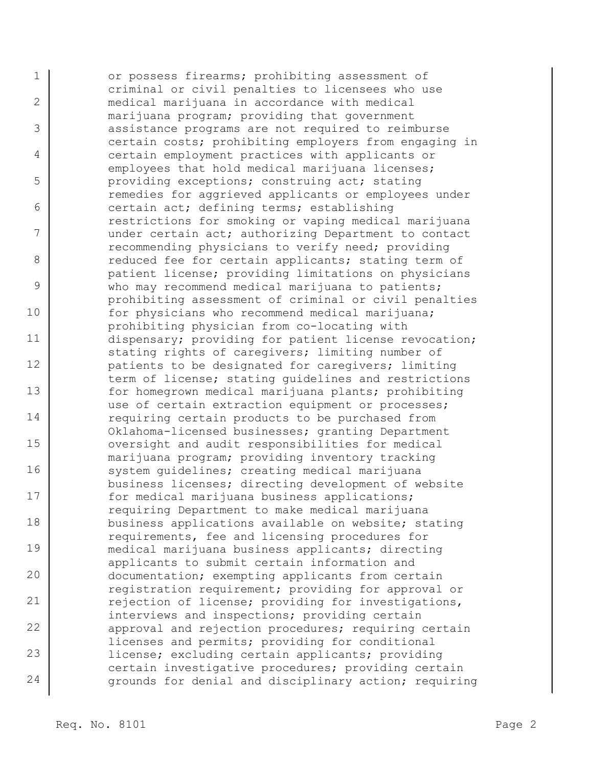1 2 3 4 5 6 7 8 9 10 11 12 13 14 15 16 17 18 19 20 21 22 23 24 or possess firearms; prohibiting assessment of criminal or civil penalties to licensees who use medical marijuana in accordance with medical marijuana program; providing that government assistance programs are not required to reimburse certain costs; prohibiting employers from engaging in certain employment practices with applicants or employees that hold medical marijuana licenses; providing exceptions; construing act; stating remedies for aggrieved applicants or employees under certain act; defining terms; establishing restrictions for smoking or vaping medical marijuana under certain act; authorizing Department to contact recommending physicians to verify need; providing reduced fee for certain applicants; stating term of patient license; providing limitations on physicians who may recommend medical marijuana to patients; prohibiting assessment of criminal or civil penalties for physicians who recommend medical marijuana; prohibiting physician from co-locating with dispensary; providing for patient license revocation; stating rights of caregivers; limiting number of patients to be designated for caregivers; limiting term of license; stating guidelines and restrictions for homegrown medical marijuana plants; prohibiting use of certain extraction equipment or processes; requiring certain products to be purchased from Oklahoma-licensed businesses; granting Department oversight and audit responsibilities for medical marijuana program; providing inventory tracking system guidelines; creating medical marijuana business licenses; directing development of website for medical marijuana business applications; requiring Department to make medical marijuana business applications available on website; stating requirements, fee and licensing procedures for medical marijuana business applicants; directing applicants to submit certain information and documentation; exempting applicants from certain registration requirement; providing for approval or rejection of license; providing for investigations, interviews and inspections; providing certain approval and rejection procedures; requiring certain licenses and permits; providing for conditional license; excluding certain applicants; providing certain investigative procedures; providing certain grounds for denial and disciplinary action; requiring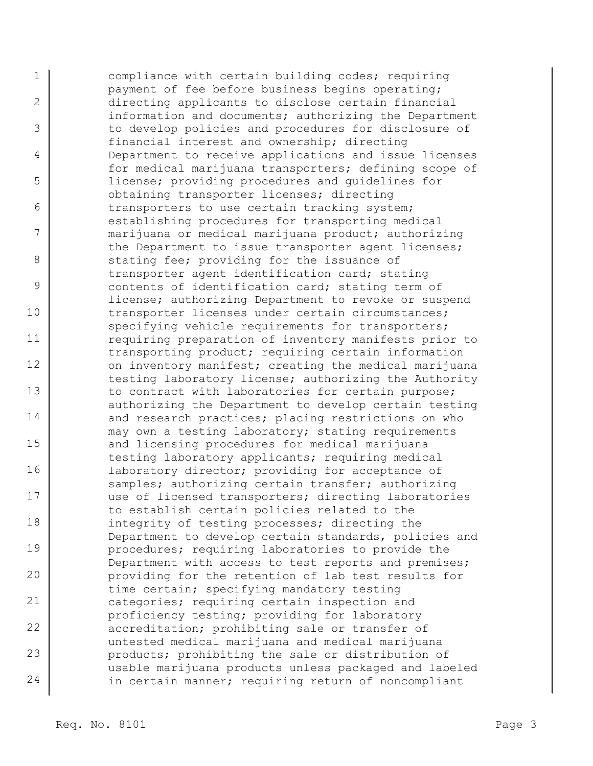1 2 3 4 5 6 7 8 9 10 11 12 13 14 15 16 17 18 19 20 21 22 23 24 compliance with certain building codes; requiring payment of fee before business begins operating; directing applicants to disclose certain financial information and documents; authorizing the Department to develop policies and procedures for disclosure of financial interest and ownership; directing Department to receive applications and issue licenses for medical marijuana transporters; defining scope of license; providing procedures and guidelines for obtaining transporter licenses; directing transporters to use certain tracking system; establishing procedures for transporting medical marijuana or medical marijuana product; authorizing the Department to issue transporter agent licenses; stating fee; providing for the issuance of transporter agent identification card; stating contents of identification card; stating term of license; authorizing Department to revoke or suspend transporter licenses under certain circumstances; specifying vehicle requirements for transporters; requiring preparation of inventory manifests prior to transporting product; requiring certain information on inventory manifest; creating the medical marijuana testing laboratory license; authorizing the Authority to contract with laboratories for certain purpose; authorizing the Department to develop certain testing and research practices; placing restrictions on who may own a testing laboratory; stating requirements and licensing procedures for medical marijuana testing laboratory applicants; requiring medical laboratory director; providing for acceptance of samples; authorizing certain transfer; authorizing use of licensed transporters; directing laboratories to establish certain policies related to the integrity of testing processes; directing the Department to develop certain standards, policies and procedures; requiring laboratories to provide the Department with access to test reports and premises; providing for the retention of lab test results for time certain; specifying mandatory testing categories; requiring certain inspection and proficiency testing; providing for laboratory accreditation; prohibiting sale or transfer of untested medical marijuana and medical marijuana products; prohibiting the sale or distribution of usable marijuana products unless packaged and labeled in certain manner; requiring return of noncompliant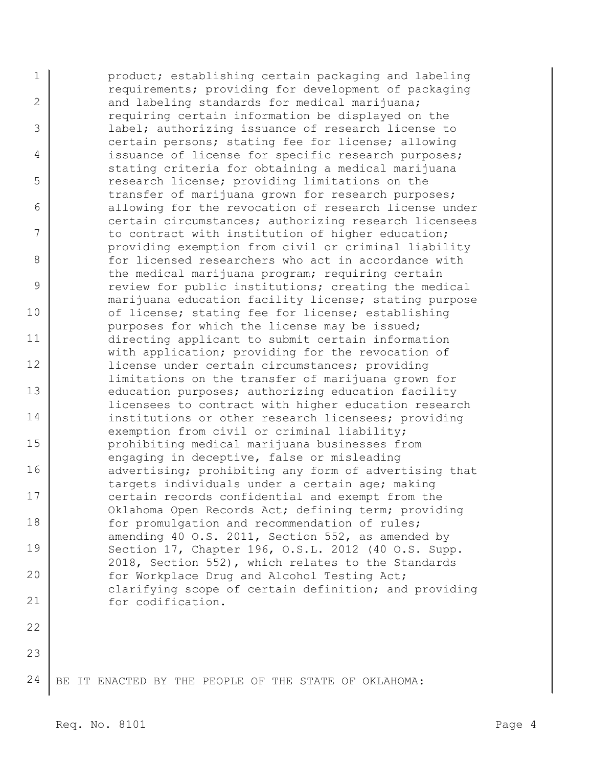1 2 3 4 5 6 7 8 9 10 11 12 13 14 15 16 17 18 19 20 21 22 product; establishing certain packaging and labeling requirements; providing for development of packaging and labeling standards for medical marijuana; requiring certain information be displayed on the label; authorizing issuance of research license to certain persons; stating fee for license; allowing issuance of license for specific research purposes; stating criteria for obtaining a medical marijuana research license; providing limitations on the transfer of marijuana grown for research purposes; allowing for the revocation of research license under certain circumstances; authorizing research licensees to contract with institution of higher education; providing exemption from civil or criminal liability for licensed researchers who act in accordance with the medical marijuana program; requiring certain review for public institutions; creating the medical marijuana education facility license; stating purpose of license; stating fee for license; establishing purposes for which the license may be issued; directing applicant to submit certain information with application; providing for the revocation of license under certain circumstances; providing limitations on the transfer of marijuana grown for education purposes; authorizing education facility licensees to contract with higher education research institutions or other research licensees; providing exemption from civil or criminal liability; prohibiting medical marijuana businesses from engaging in deceptive, false or misleading advertising; prohibiting any form of advertising that targets individuals under a certain age; making certain records confidential and exempt from the Oklahoma Open Records Act; defining term; providing for promulgation and recommendation of rules; amending 40 O.S. 2011, Section 552, as amended by Section 17, Chapter 196, O.S.L. 2012 (40 O.S. Supp. 2018, Section 552), which relates to the Standards for Workplace Drug and Alcohol Testing Act; clarifying scope of certain definition; and providing for codification.

24 BE IT ENACTED BY THE PEOPLE OF THE STATE OF OKLAHOMA: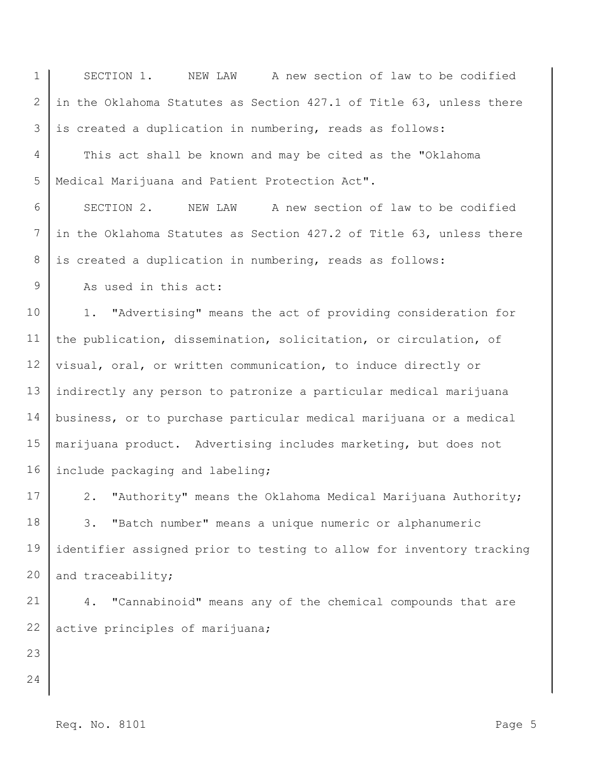1 2 3 4 5 6 7 8 9 10 11 12 13 14 15 16 17 18 19 20 21 22 23 24 SECTION 1. NEW LAW A new section of law to be codified in the Oklahoma Statutes as Section 427.1 of Title 63, unless there is created a duplication in numbering, reads as follows: This act shall be known and may be cited as the "Oklahoma Medical Marijuana and Patient Protection Act". SECTION 2. NEW LAW A new section of law to be codified in the Oklahoma Statutes as Section 427.2 of Title 63, unless there is created a duplication in numbering, reads as follows: As used in this act: 1. "Advertising" means the act of providing consideration for the publication, dissemination, solicitation, or circulation, of visual, oral, or written communication, to induce directly or indirectly any person to patronize a particular medical marijuana business, or to purchase particular medical marijuana or a medical marijuana product. Advertising includes marketing, but does not include packaging and labeling; 2. "Authority" means the Oklahoma Medical Marijuana Authority; 3. "Batch number" means a unique numeric or alphanumeric identifier assigned prior to testing to allow for inventory tracking and traceability; 4. "Cannabinoid" means any of the chemical compounds that are active principles of marijuana;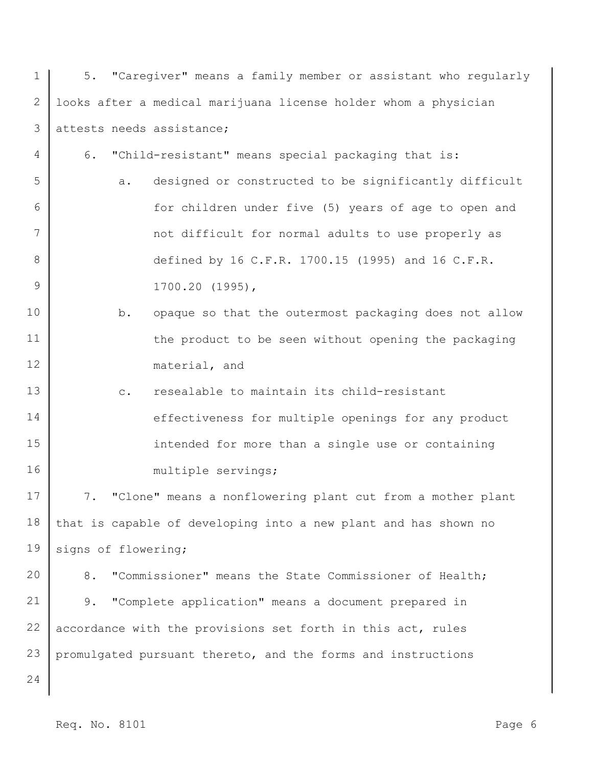| $\mathbf 1$       | 5. "Caregiver" means a family member or assistant who regularly  |
|-------------------|------------------------------------------------------------------|
| $\mathbf{2}$      | looks after a medical marijuana license holder whom a physician  |
| 3                 | attests needs assistance;                                        |
| 4                 | 6.<br>"Child-resistant" means special packaging that is:         |
| 5                 | designed or constructed to be significantly difficult<br>a.      |
| 6                 | for children under five (5) years of age to open and             |
| 7                 | not difficult for normal adults to use properly as               |
| 8                 | defined by 16 C.F.R. 1700.15 (1995) and 16 C.F.R.                |
| 9                 | $1700.20$ (1995),                                                |
| 10                | opaque so that the outermost packaging does not allow<br>b.      |
| 11                | the product to be seen without opening the packaging             |
| $12 \overline{ }$ | material, and                                                    |
| 13                | resealable to maintain its child-resistant<br>$\circ$ .          |
| 14                | effectiveness for multiple openings for any product              |
| 15                | intended for more than a single use or containing                |
| 16                | multiple servings;                                               |
| 17                | "Clone" means a nonflowering plant cut from a mother plant<br>7. |
| 18                | that is capable of developing into a new plant and has shown no  |
| 19                | signs of flowering;                                              |
| 20                | 8.<br>"Commissioner" means the State Commissioner of Health;     |
| 21                | 9.<br>"Complete application" means a document prepared in        |
| 22                | accordance with the provisions set forth in this act, rules      |
| 23                | promulgated pursuant thereto, and the forms and instructions     |
| 24                |                                                                  |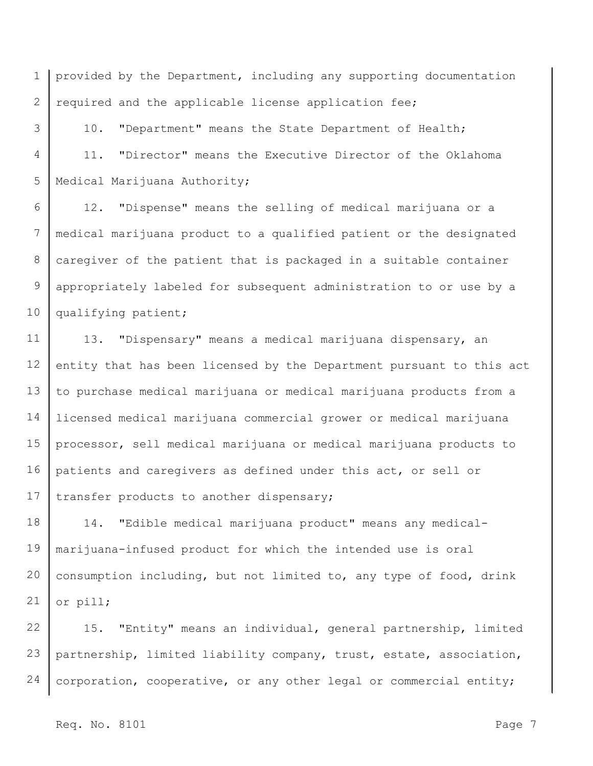1 2 provided by the Department, including any supporting documentation required and the applicable license application fee;

3 4 5 10. "Department" means the State Department of Health; 11. "Director" means the Executive Director of the Oklahoma Medical Marijuana Authority;

6 7 8 9 10 12. "Dispense" means the selling of medical marijuana or a medical marijuana product to a qualified patient or the designated caregiver of the patient that is packaged in a suitable container appropriately labeled for subsequent administration to or use by a qualifying patient;

11 12 13 14 15 16 17 13. "Dispensary" means a medical marijuana dispensary, an entity that has been licensed by the Department pursuant to this act to purchase medical marijuana or medical marijuana products from a licensed medical marijuana commercial grower or medical marijuana processor, sell medical marijuana or medical marijuana products to patients and caregivers as defined under this act, or sell or transfer products to another dispensary;

18 19 20 21 14. "Edible medical marijuana product" means any medicalmarijuana-infused product for which the intended use is oral consumption including, but not limited to, any type of food, drink or pill;

22 23 24 15. "Entity" means an individual, general partnership, limited partnership, limited liability company, trust, estate, association, corporation, cooperative, or any other legal or commercial entity;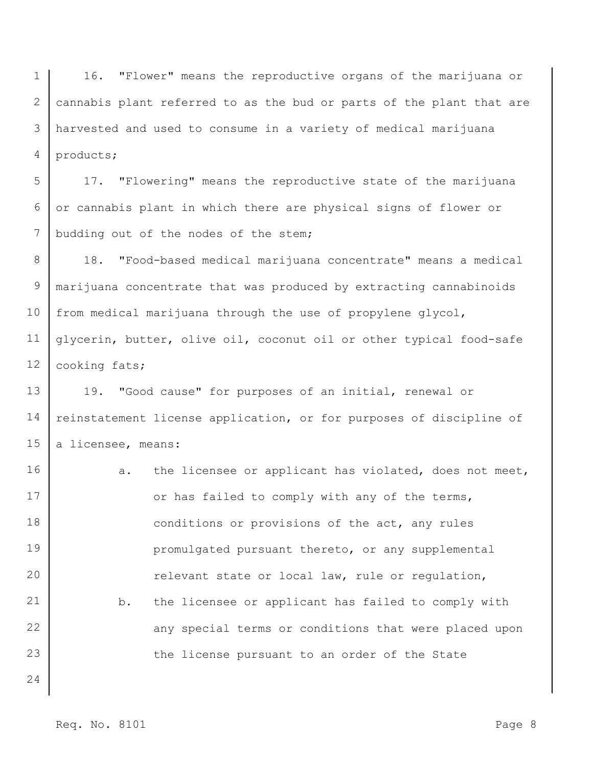1 2 3 4 16. "Flower" means the reproductive organs of the marijuana or cannabis plant referred to as the bud or parts of the plant that are harvested and used to consume in a variety of medical marijuana products;

5 6 7 17. "Flowering" means the reproductive state of the marijuana or cannabis plant in which there are physical signs of flower or budding out of the nodes of the stem;

8 9 10 11 12 18. "Food-based medical marijuana concentrate" means a medical marijuana concentrate that was produced by extracting cannabinoids from medical marijuana through the use of propylene glycol, glycerin, butter, olive oil, coconut oil or other typical food-safe cooking fats;

13 14 15 19. "Good cause" for purposes of an initial, renewal or reinstatement license application, or for purposes of discipline of a licensee, means:

16 17 18 19 20 21 22 23 24 a. the licensee or applicant has violated, does not meet, or has failed to comply with any of the terms, conditions or provisions of the act, any rules promulgated pursuant thereto, or any supplemental relevant state or local law, rule or regulation, b. the licensee or applicant has failed to comply with any special terms or conditions that were placed upon the license pursuant to an order of the State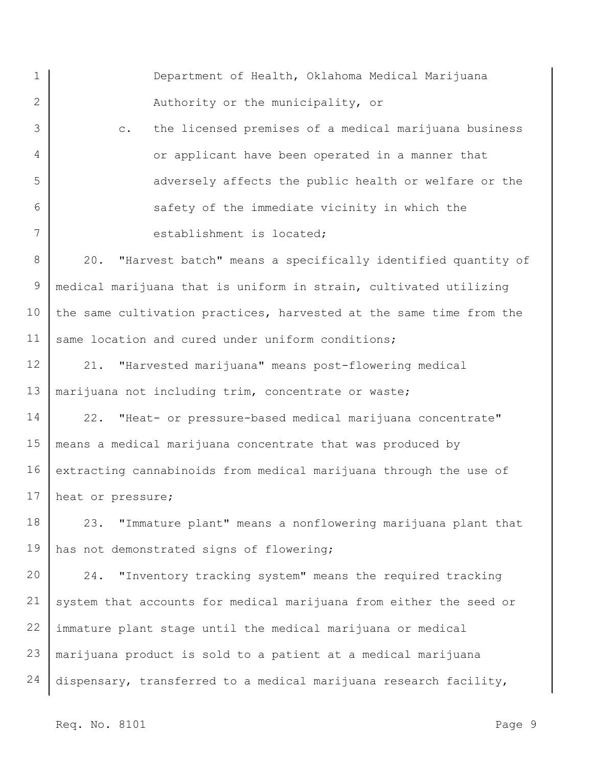1 2 3 4 5 6 7 8 9 10 11 12 13 14 15 16 17 18 19 20 21 22 23 24 Department of Health, Oklahoma Medical Marijuana Authority or the municipality, or c. the licensed premises of a medical marijuana business or applicant have been operated in a manner that adversely affects the public health or welfare or the safety of the immediate vicinity in which the establishment is located; 20. "Harvest batch" means a specifically identified quantity of medical marijuana that is uniform in strain, cultivated utilizing the same cultivation practices, harvested at the same time from the same location and cured under uniform conditions; 21. "Harvested marijuana" means post-flowering medical marijuana not including trim, concentrate or waste; 22. "Heat- or pressure-based medical marijuana concentrate" means a medical marijuana concentrate that was produced by extracting cannabinoids from medical marijuana through the use of heat or pressure; 23. "Immature plant" means a nonflowering marijuana plant that has not demonstrated signs of flowering; 24. "Inventory tracking system" means the required tracking system that accounts for medical marijuana from either the seed or immature plant stage until the medical marijuana or medical marijuana product is sold to a patient at a medical marijuana dispensary, transferred to a medical marijuana research facility,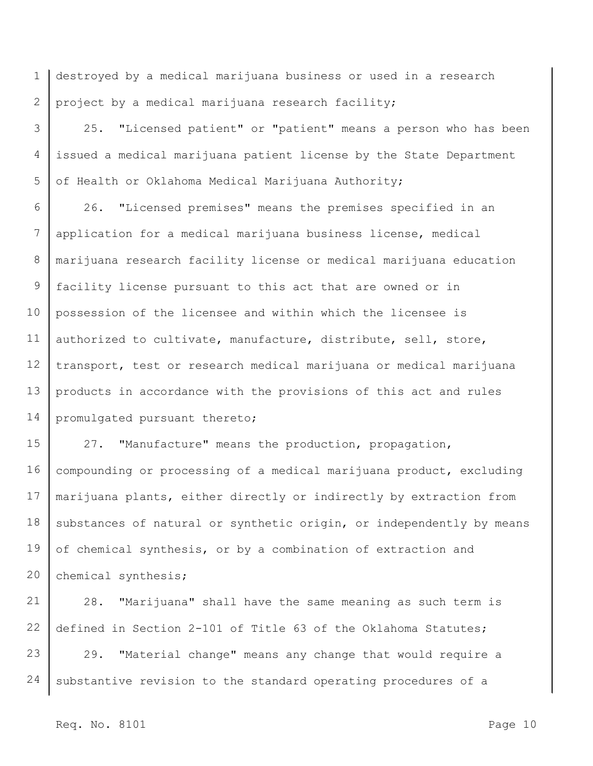1 2 destroyed by a medical marijuana business or used in a research project by a medical marijuana research facility;

3 4 5 25. "Licensed patient" or "patient" means a person who has been issued a medical marijuana patient license by the State Department of Health or Oklahoma Medical Marijuana Authority;

6 7 8 9 10 11 12 13 14 26. "Licensed premises" means the premises specified in an application for a medical marijuana business license, medical marijuana research facility license or medical marijuana education facility license pursuant to this act that are owned or in possession of the licensee and within which the licensee is authorized to cultivate, manufacture, distribute, sell, store, transport, test or research medical marijuana or medical marijuana products in accordance with the provisions of this act and rules promulgated pursuant thereto;

15 16 17 18 19 20 27. "Manufacture" means the production, propagation, compounding or processing of a medical marijuana product, excluding marijuana plants, either directly or indirectly by extraction from substances of natural or synthetic origin, or independently by means of chemical synthesis, or by a combination of extraction and chemical synthesis;

21 22 23 24 28. "Marijuana" shall have the same meaning as such term is defined in Section 2-101 of Title 63 of the Oklahoma Statutes; 29. "Material change" means any change that would require a substantive revision to the standard operating procedures of a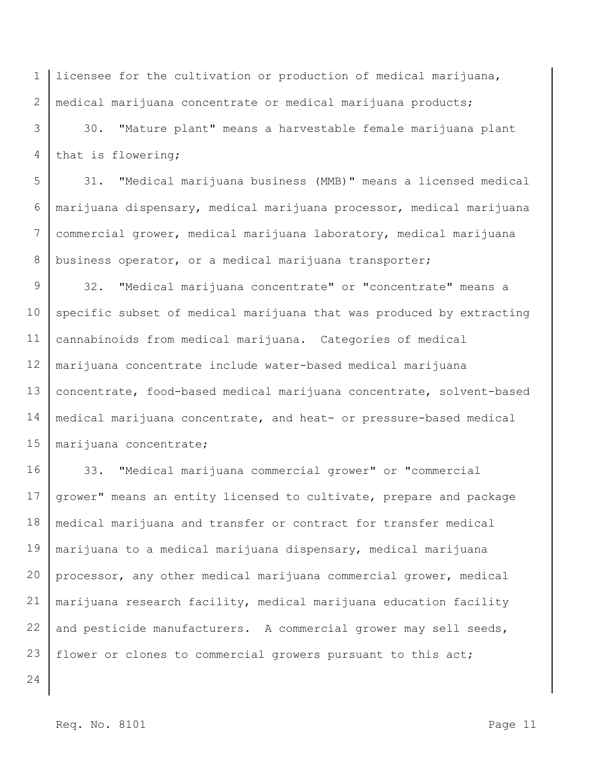1 2 licensee for the cultivation or production of medical marijuana, medical marijuana concentrate or medical marijuana products;

3 4 30. "Mature plant" means a harvestable female marijuana plant that is flowering;

5 6 7 8 31. "Medical marijuana business (MMB)" means a licensed medical marijuana dispensary, medical marijuana processor, medical marijuana commercial grower, medical marijuana laboratory, medical marijuana business operator, or a medical marijuana transporter;

9 10 11 12 13 14 15 32. "Medical marijuana concentrate" or "concentrate" means a specific subset of medical marijuana that was produced by extracting cannabinoids from medical marijuana. Categories of medical marijuana concentrate include water-based medical marijuana concentrate, food-based medical marijuana concentrate, solvent-based medical marijuana concentrate, and heat- or pressure-based medical marijuana concentrate;

16 17 18 19 20 21 22 23 33. "Medical marijuana commercial grower" or "commercial grower" means an entity licensed to cultivate, prepare and package medical marijuana and transfer or contract for transfer medical marijuana to a medical marijuana dispensary, medical marijuana processor, any other medical marijuana commercial grower, medical marijuana research facility, medical marijuana education facility and pesticide manufacturers. A commercial grower may sell seeds, flower or clones to commercial growers pursuant to this act;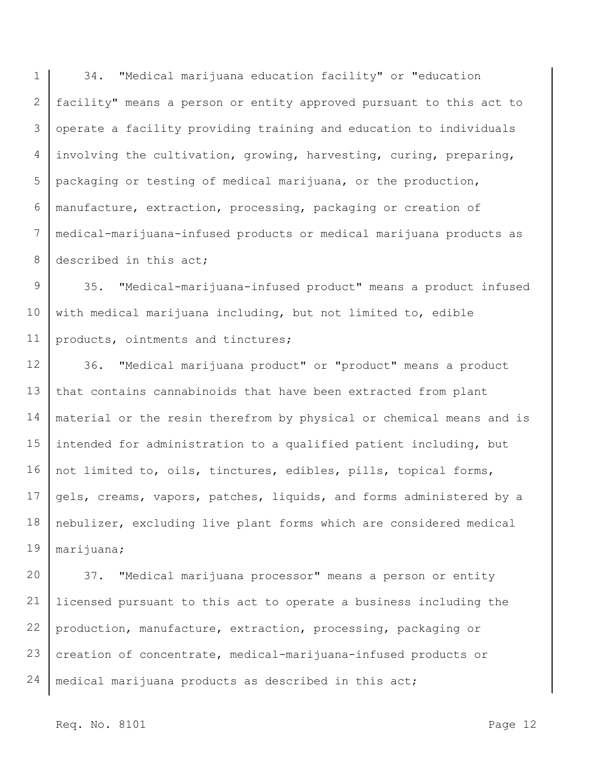1 2 3 4 5 6 7 8 34. "Medical marijuana education facility" or "education facility" means a person or entity approved pursuant to this act to operate a facility providing training and education to individuals involving the cultivation, growing, harvesting, curing, preparing, packaging or testing of medical marijuana, or the production, manufacture, extraction, processing, packaging or creation of medical-marijuana-infused products or medical marijuana products as described in this act;

9 10 11 35. "Medical-marijuana-infused product" means a product infused with medical marijuana including, but not limited to, edible products, ointments and tinctures;

12 13 14 15 16 17 18 19 36. "Medical marijuana product" or "product" means a product that contains cannabinoids that have been extracted from plant material or the resin therefrom by physical or chemical means and is intended for administration to a qualified patient including, but not limited to, oils, tinctures, edibles, pills, topical forms, gels, creams, vapors, patches, liquids, and forms administered by a nebulizer, excluding live plant forms which are considered medical marijuana;

20 21 22 23 24 37. "Medical marijuana processor" means a person or entity licensed pursuant to this act to operate a business including the production, manufacture, extraction, processing, packaging or creation of concentrate, medical-marijuana-infused products or medical marijuana products as described in this act;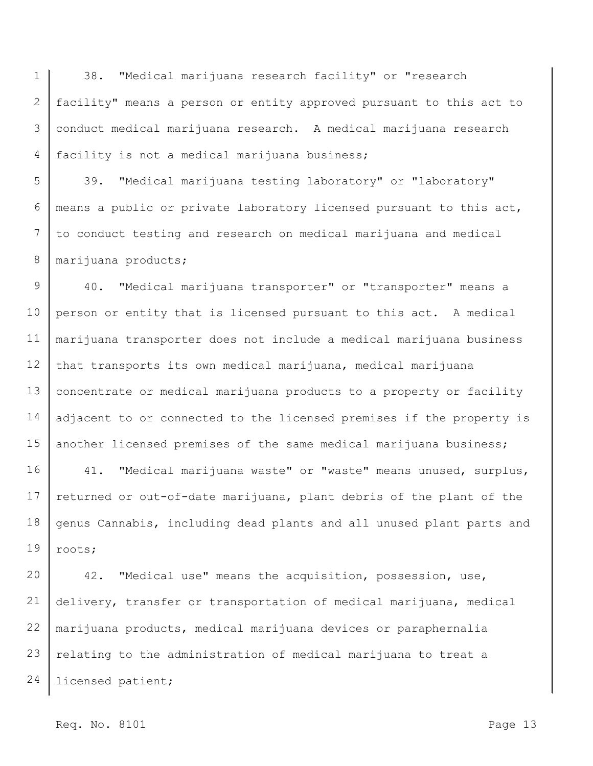1 2 3 4 38. "Medical marijuana research facility" or "research facility" means a person or entity approved pursuant to this act to conduct medical marijuana research. A medical marijuana research facility is not a medical marijuana business;

5 6 7 8 39. "Medical marijuana testing laboratory" or "laboratory" means a public or private laboratory licensed pursuant to this act, to conduct testing and research on medical marijuana and medical marijuana products;

9 10 11 12 13 14 15 40. "Medical marijuana transporter" or "transporter" means a person or entity that is licensed pursuant to this act. A medical marijuana transporter does not include a medical marijuana business that transports its own medical marijuana, medical marijuana concentrate or medical marijuana products to a property or facility adjacent to or connected to the licensed premises if the property is another licensed premises of the same medical marijuana business;

16 17 18 19 41. "Medical marijuana waste" or "waste" means unused, surplus, returned or out-of-date marijuana, plant debris of the plant of the genus Cannabis, including dead plants and all unused plant parts and roots;

20 21 22 23 24 42. "Medical use" means the acquisition, possession, use, delivery, transfer or transportation of medical marijuana, medical marijuana products, medical marijuana devices or paraphernalia relating to the administration of medical marijuana to treat a licensed patient;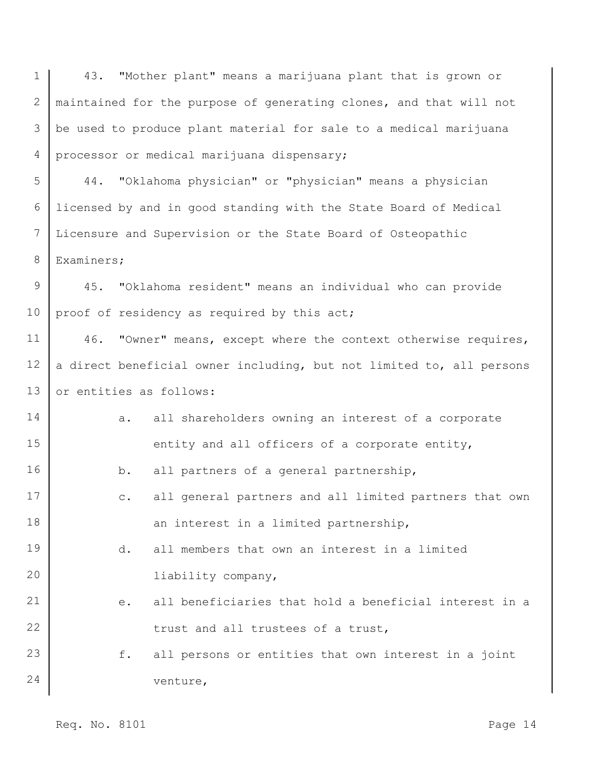1 2 3 4 5 6 7 8 9 10 11 12 13 14 15 16 17 18 19 20 21 22 23 24 43. "Mother plant" means a marijuana plant that is grown or maintained for the purpose of generating clones, and that will not be used to produce plant material for sale to a medical marijuana processor or medical marijuana dispensary; 44. "Oklahoma physician" or "physician" means a physician licensed by and in good standing with the State Board of Medical Licensure and Supervision or the State Board of Osteopathic Examiners; 45. "Oklahoma resident" means an individual who can provide proof of residency as required by this act; 46. "Owner" means, except where the context otherwise requires, a direct beneficial owner including, but not limited to, all persons or entities as follows: a. all shareholders owning an interest of a corporate entity and all officers of a corporate entity, b. all partners of a general partnership, c. all general partners and all limited partners that own an interest in a limited partnership, d. all members that own an interest in a limited liability company, e. all beneficiaries that hold a beneficial interest in a trust and all trustees of a trust, f. all persons or entities that own interest in a joint venture,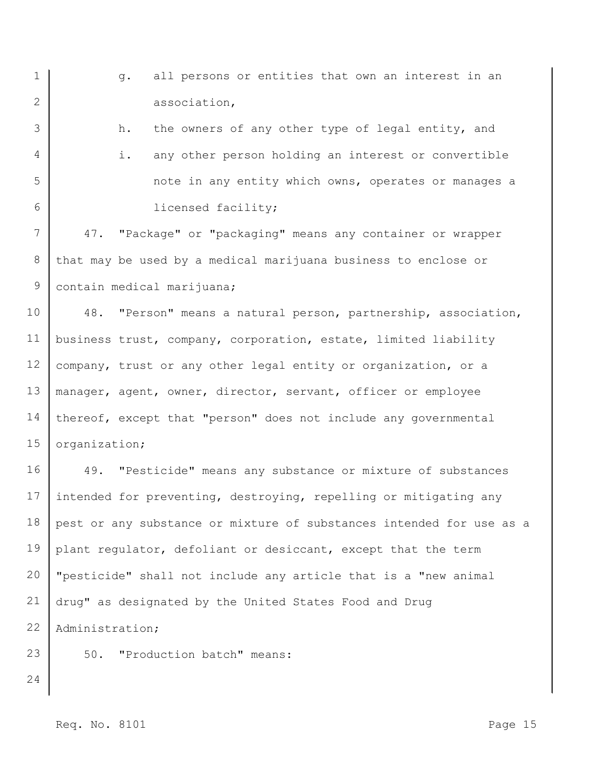| $\mathbf 1$ | all persons or entities that own an interest in an<br>q.             |
|-------------|----------------------------------------------------------------------|
| 2           | association,                                                         |
| 3           | the owners of any other type of legal entity, and<br>h.              |
| 4           | any other person holding an interest or convertible<br>i.            |
| 5           | note in any entity which owns, operates or manages a                 |
| 6           | licensed facility;                                                   |
| 7           | "Package" or "packaging" means any container or wrapper<br>47.       |
| $8\,$       | that may be used by a medical marijuana business to enclose or       |
| 9           | contain medical marijuana;                                           |
| 10          | 48.<br>"Person" means a natural person, partnership, association,    |
| 11          | business trust, company, corporation, estate, limited liability      |
| 12          | company, trust or any other legal entity or organization, or a       |
| 13          | manager, agent, owner, director, servant, officer or employee        |
| 14          | thereof, except that "person" does not include any governmental      |
| 15          | organization;                                                        |
| 16          | 49. "Pesticide" means any substance or mixture of substances         |
| 17          | intended for preventing, destroying, repelling or mitigating any     |
| 18          | pest or any substance or mixture of substances intended for use as a |
| 19          | plant regulator, defoliant or desiccant, except that the term        |
| 20          | "pesticide" shall not include any article that is a "new animal      |
| 21          | drug" as designated by the United States Food and Drug               |
| 22          | Administration;                                                      |
| 23          | "Production batch" means:<br>50.                                     |
| 24          |                                                                      |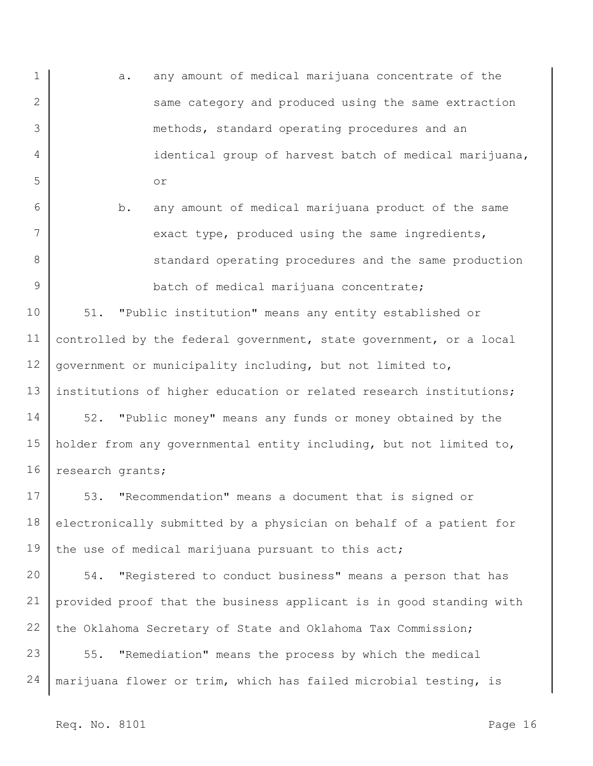- 1 2 3 4 5 a. any amount of medical marijuana concentrate of the same category and produced using the same extraction methods, standard operating procedures and an identical group of harvest batch of medical marijuana, or
	- b. any amount of medical marijuana product of the same exact type, produced using the same ingredients, standard operating procedures and the same production batch of medical marijuana concentrate;

10 11 12 13 51. "Public institution" means any entity established or controlled by the federal government, state government, or a local government or municipality including, but not limited to, institutions of higher education or related research institutions;

14 15 16 52. "Public money" means any funds or money obtained by the holder from any governmental entity including, but not limited to, research grants;

17 18 19 53. "Recommendation" means a document that is signed or electronically submitted by a physician on behalf of a patient for the use of medical marijuana pursuant to this act;

20 21 22 54. "Registered to conduct business" means a person that has provided proof that the business applicant is in good standing with the Oklahoma Secretary of State and Oklahoma Tax Commission;

23 24 55. "Remediation" means the process by which the medical marijuana flower or trim, which has failed microbial testing, is

6

7

8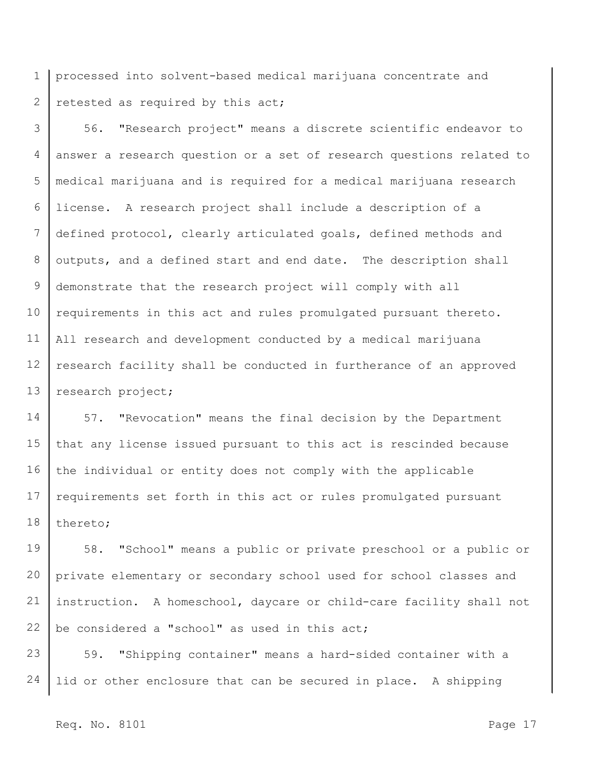1 2 processed into solvent-based medical marijuana concentrate and retested as required by this act;

3 4 5 6 7 8 9 10 11 12 13 56. "Research project" means a discrete scientific endeavor to answer a research question or a set of research questions related to medical marijuana and is required for a medical marijuana research license. A research project shall include a description of a defined protocol, clearly articulated goals, defined methods and outputs, and a defined start and end date. The description shall demonstrate that the research project will comply with all requirements in this act and rules promulgated pursuant thereto. All research and development conducted by a medical marijuana research facility shall be conducted in furtherance of an approved research project;

14 15 16 17 18 57. "Revocation" means the final decision by the Department that any license issued pursuant to this act is rescinded because the individual or entity does not comply with the applicable requirements set forth in this act or rules promulgated pursuant thereto;

19 20 21 22 58. "School" means a public or private preschool or a public or private elementary or secondary school used for school classes and instruction. A homeschool, daycare or child-care facility shall not be considered a "school" as used in this act;

23 24 59. "Shipping container" means a hard-sided container with a lid or other enclosure that can be secured in place. A shipping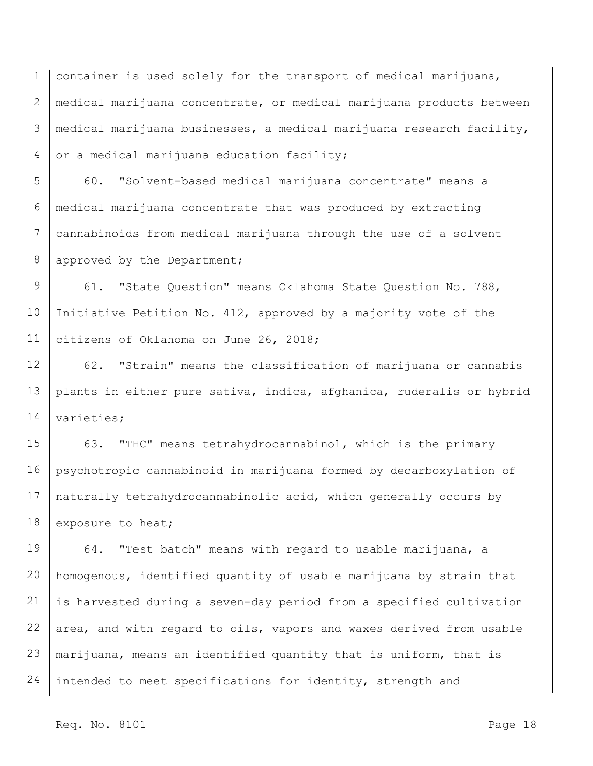1 2 3 4 container is used solely for the transport of medical marijuana, medical marijuana concentrate, or medical marijuana products between medical marijuana businesses, a medical marijuana research facility, or a medical marijuana education facility;

5 6 7 8 60. "Solvent-based medical marijuana concentrate" means a medical marijuana concentrate that was produced by extracting cannabinoids from medical marijuana through the use of a solvent approved by the Department;

9 10 11 61. "State Question" means Oklahoma State Question No. 788, Initiative Petition No. 412, approved by a majority vote of the citizens of Oklahoma on June 26, 2018;

12 13 14 62. "Strain" means the classification of marijuana or cannabis plants in either pure sativa, indica, afghanica, ruderalis or hybrid varieties;

15 16 17 18 63. "THC" means tetrahydrocannabinol, which is the primary psychotropic cannabinoid in marijuana formed by decarboxylation of naturally tetrahydrocannabinolic acid, which generally occurs by exposure to heat;

19 20 21 22 23 24 64. "Test batch" means with regard to usable marijuana, a homogenous, identified quantity of usable marijuana by strain that is harvested during a seven-day period from a specified cultivation area, and with regard to oils, vapors and waxes derived from usable marijuana, means an identified quantity that is uniform, that is intended to meet specifications for identity, strength and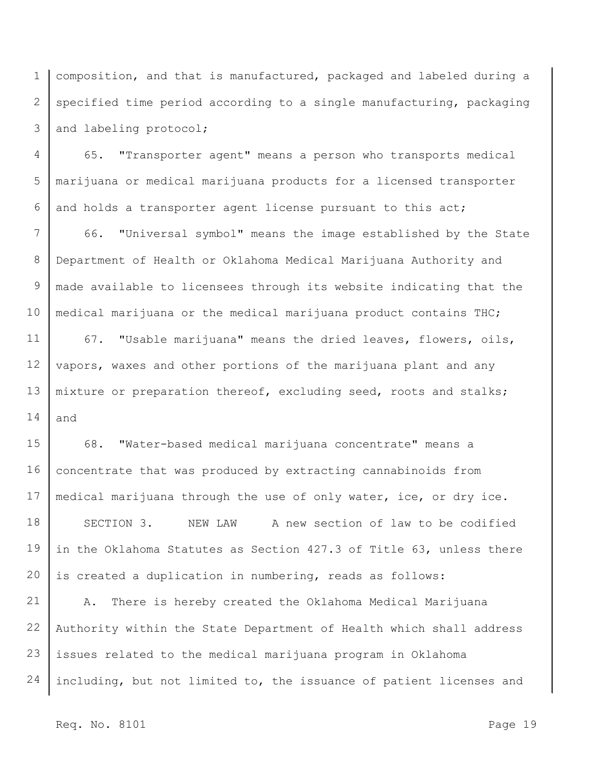1 2 3 composition, and that is manufactured, packaged and labeled during a specified time period according to a single manufacturing, packaging and labeling protocol;

4 5 6 65. "Transporter agent" means a person who transports medical marijuana or medical marijuana products for a licensed transporter and holds a transporter agent license pursuant to this act;

7 8 9 10 66. "Universal symbol" means the image established by the State Department of Health or Oklahoma Medical Marijuana Authority and made available to licensees through its website indicating that the medical marijuana or the medical marijuana product contains THC;

11 12 13 14 67. "Usable marijuana" means the dried leaves, flowers, oils, vapors, waxes and other portions of the marijuana plant and any mixture or preparation thereof, excluding seed, roots and stalks; and

15 16 17 18 19 20 68. "Water-based medical marijuana concentrate" means a concentrate that was produced by extracting cannabinoids from medical marijuana through the use of only water, ice, or dry ice. SECTION 3. NEW LAW A new section of law to be codified in the Oklahoma Statutes as Section 427.3 of Title 63, unless there is created a duplication in numbering, reads as follows:

21 22 23 24 A. There is hereby created the Oklahoma Medical Marijuana Authority within the State Department of Health which shall address issues related to the medical marijuana program in Oklahoma including, but not limited to, the issuance of patient licenses and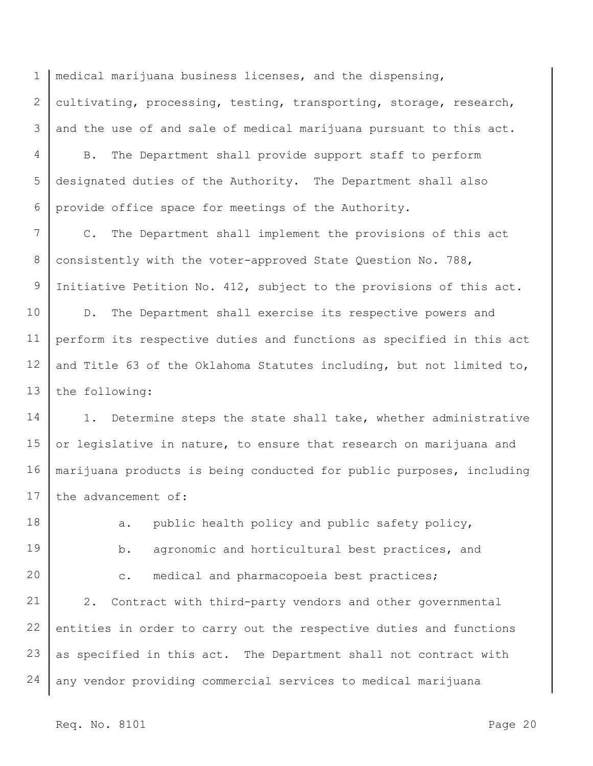1 2 3 medical marijuana business licenses, and the dispensing, cultivating, processing, testing, transporting, storage, research, and the use of and sale of medical marijuana pursuant to this act.

4 5 6 B. The Department shall provide support staff to perform designated duties of the Authority. The Department shall also provide office space for meetings of the Authority.

7 8 9 C. The Department shall implement the provisions of this act consistently with the voter-approved State Question No. 788, Initiative Petition No. 412, subject to the provisions of this act.

10 11 12 13 D. The Department shall exercise its respective powers and perform its respective duties and functions as specified in this act and Title 63 of the Oklahoma Statutes including, but not limited to, the following:

14 15 16 17 1. Determine steps the state shall take, whether administrative or legislative in nature, to ensure that research on marijuana and marijuana products is being conducted for public purposes, including the advancement of:

18 19 20 21 22 23 24 a. public health policy and public safety policy, b. agronomic and horticultural best practices, and c. medical and pharmacopoeia best practices; 2. Contract with third-party vendors and other governmental entities in order to carry out the respective duties and functions as specified in this act. The Department shall not contract with any vendor providing commercial services to medical marijuana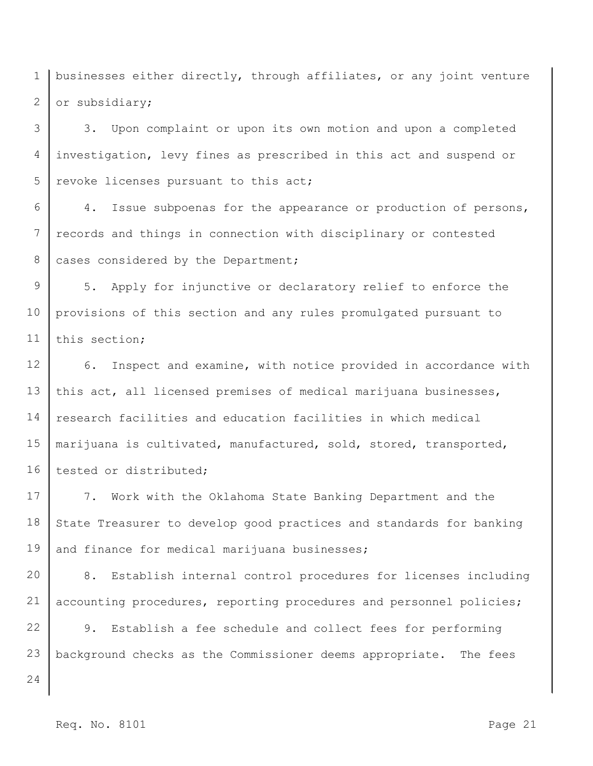1 2 businesses either directly, through affiliates, or any joint venture or subsidiary;

3 4 5 3. Upon complaint or upon its own motion and upon a completed investigation, levy fines as prescribed in this act and suspend or revoke licenses pursuant to this act;

6 7 8 4. Issue subpoenas for the appearance or production of persons, records and things in connection with disciplinary or contested cases considered by the Department;

9 10 11 5. Apply for injunctive or declaratory relief to enforce the provisions of this section and any rules promulgated pursuant to this section;

12 13 14 15 16 6. Inspect and examine, with notice provided in accordance with this act, all licensed premises of medical marijuana businesses, research facilities and education facilities in which medical marijuana is cultivated, manufactured, sold, stored, transported, tested or distributed;

17 18 19 7. Work with the Oklahoma State Banking Department and the State Treasurer to develop good practices and standards for banking and finance for medical marijuana businesses;

20 21 8. Establish internal control procedures for licenses including accounting procedures, reporting procedures and personnel policies;

22 23 9. Establish a fee schedule and collect fees for performing background checks as the Commissioner deems appropriate. The fees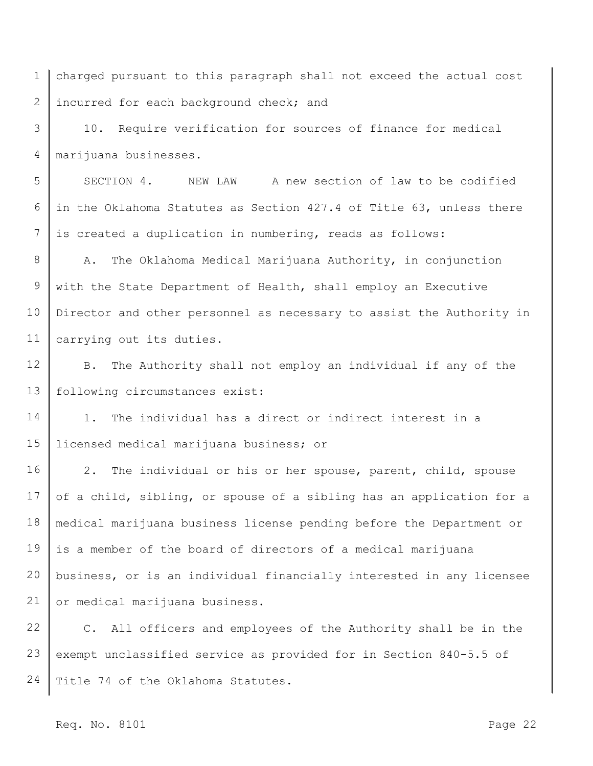1 2 charged pursuant to this paragraph shall not exceed the actual cost incurred for each background check; and

3 4 10. Require verification for sources of finance for medical marijuana businesses.

5 6 7 SECTION 4. NEW LAW A new section of law to be codified in the Oklahoma Statutes as Section 427.4 of Title 63, unless there is created a duplication in numbering, reads as follows:

8 9 10 11 A. The Oklahoma Medical Marijuana Authority, in conjunction with the State Department of Health, shall employ an Executive Director and other personnel as necessary to assist the Authority in carrying out its duties.

12 13 B. The Authority shall not employ an individual if any of the following circumstances exist:

14 15 1. The individual has a direct or indirect interest in a licensed medical marijuana business; or

16 17 18 19 20 21 2. The individual or his or her spouse, parent, child, spouse of a child, sibling, or spouse of a sibling has an application for a medical marijuana business license pending before the Department or is a member of the board of directors of a medical marijuana business, or is an individual financially interested in any licensee or medical marijuana business.

22 23 24 C. All officers and employees of the Authority shall be in the exempt unclassified service as provided for in Section 840-5.5 of Title 74 of the Oklahoma Statutes.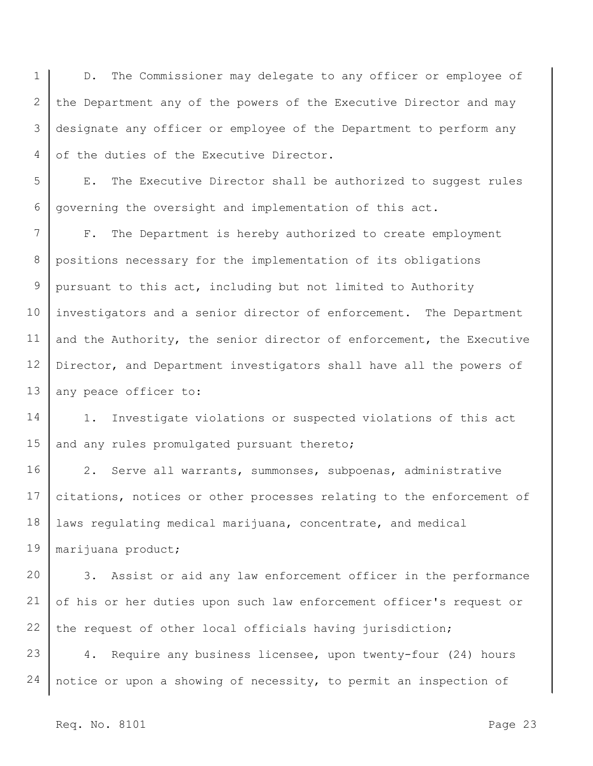1 2 3 4 D. The Commissioner may delegate to any officer or employee of the Department any of the powers of the Executive Director and may designate any officer or employee of the Department to perform any of the duties of the Executive Director.

5 6 E. The Executive Director shall be authorized to suggest rules governing the oversight and implementation of this act.

7 8 9 10 11 12 13 F. The Department is hereby authorized to create employment positions necessary for the implementation of its obligations pursuant to this act, including but not limited to Authority investigators and a senior director of enforcement. The Department and the Authority, the senior director of enforcement, the Executive Director, and Department investigators shall have all the powers of any peace officer to:

14 15 1. Investigate violations or suspected violations of this act and any rules promulgated pursuant thereto;

16 17 18 19 2. Serve all warrants, summonses, subpoenas, administrative citations, notices or other processes relating to the enforcement of laws regulating medical marijuana, concentrate, and medical marijuana product;

20 21 22 3. Assist or aid any law enforcement officer in the performance of his or her duties upon such law enforcement officer's request or the request of other local officials having jurisdiction;

23 24 4. Require any business licensee, upon twenty-four (24) hours notice or upon a showing of necessity, to permit an inspection of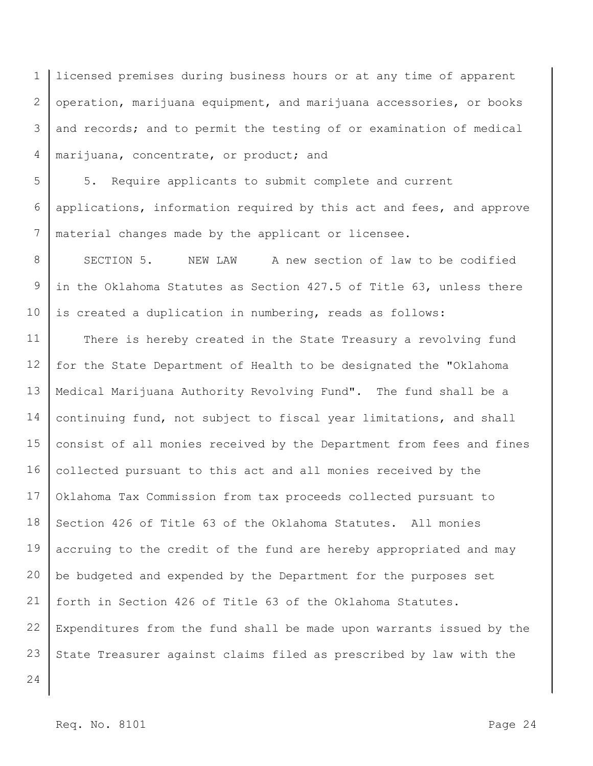1 2 3 4 licensed premises during business hours or at any time of apparent operation, marijuana equipment, and marijuana accessories, or books and records; and to permit the testing of or examination of medical marijuana, concentrate, or product; and

5 6 7 5. Require applicants to submit complete and current applications, information required by this act and fees, and approve material changes made by the applicant or licensee.

8 9 10 SECTION 5. NEW LAW A new section of law to be codified in the Oklahoma Statutes as Section 427.5 of Title 63, unless there is created a duplication in numbering, reads as follows:

11 12 13 14 15 16 17 18 19 20 21 22 23 There is hereby created in the State Treasury a revolving fund for the State Department of Health to be designated the "Oklahoma Medical Marijuana Authority Revolving Fund". The fund shall be a continuing fund, not subject to fiscal year limitations, and shall consist of all monies received by the Department from fees and fines collected pursuant to this act and all monies received by the Oklahoma Tax Commission from tax proceeds collected pursuant to Section 426 of Title 63 of the Oklahoma Statutes. All monies accruing to the credit of the fund are hereby appropriated and may be budgeted and expended by the Department for the purposes set forth in Section 426 of Title 63 of the Oklahoma Statutes. Expenditures from the fund shall be made upon warrants issued by the State Treasurer against claims filed as prescribed by law with the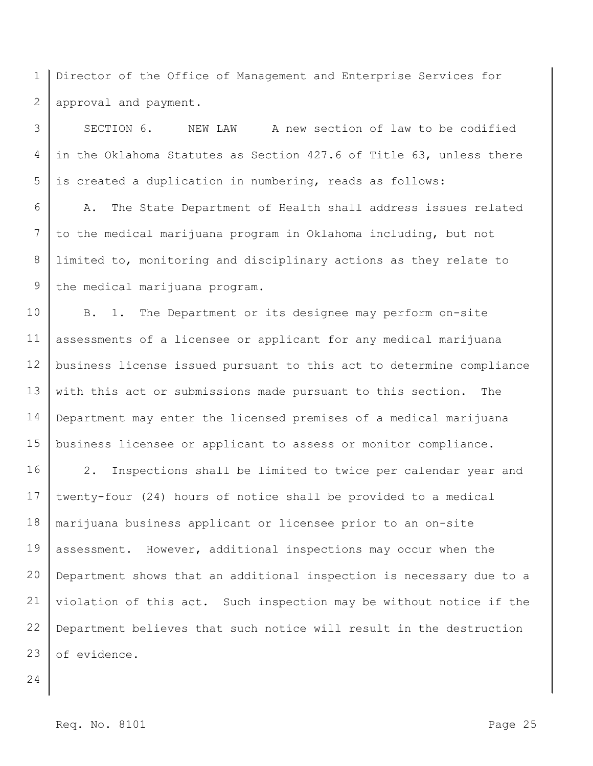1 2 Director of the Office of Management and Enterprise Services for approval and payment.

3 4 5 SECTION 6. NEW LAW A new section of law to be codified in the Oklahoma Statutes as Section 427.6 of Title 63, unless there is created a duplication in numbering, reads as follows:

6 7 8 9 A. The State Department of Health shall address issues related to the medical marijuana program in Oklahoma including, but not limited to, monitoring and disciplinary actions as they relate to the medical marijuana program.

10 11 12 13 14 15 B. 1. The Department or its designee may perform on-site assessments of a licensee or applicant for any medical marijuana business license issued pursuant to this act to determine compliance with this act or submissions made pursuant to this section. The Department may enter the licensed premises of a medical marijuana business licensee or applicant to assess or monitor compliance.

16 17 18 19 20 21 22 23 2. Inspections shall be limited to twice per calendar year and twenty-four (24) hours of notice shall be provided to a medical marijuana business applicant or licensee prior to an on-site assessment. However, additional inspections may occur when the Department shows that an additional inspection is necessary due to a violation of this act. Such inspection may be without notice if the Department believes that such notice will result in the destruction of evidence.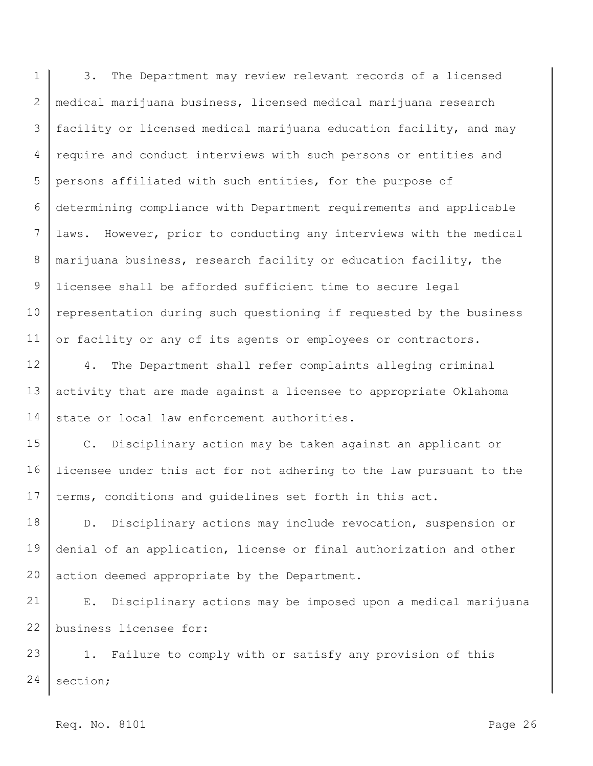1 2 3 4 5 6 7 8 9 10 11 3. The Department may review relevant records of a licensed medical marijuana business, licensed medical marijuana research facility or licensed medical marijuana education facility, and may require and conduct interviews with such persons or entities and persons affiliated with such entities, for the purpose of determining compliance with Department requirements and applicable laws. However, prior to conducting any interviews with the medical marijuana business, research facility or education facility, the licensee shall be afforded sufficient time to secure legal representation during such questioning if requested by the business or facility or any of its agents or employees or contractors.

12 13 14 4. The Department shall refer complaints alleging criminal activity that are made against a licensee to appropriate Oklahoma state or local law enforcement authorities.

15 16 17 C. Disciplinary action may be taken against an applicant or licensee under this act for not adhering to the law pursuant to the terms, conditions and guidelines set forth in this act.

18 19 20 D. Disciplinary actions may include revocation, suspension or denial of an application, license or final authorization and other action deemed appropriate by the Department.

21 22 E. Disciplinary actions may be imposed upon a medical marijuana business licensee for:

23 24 1. Failure to comply with or satisfy any provision of this section;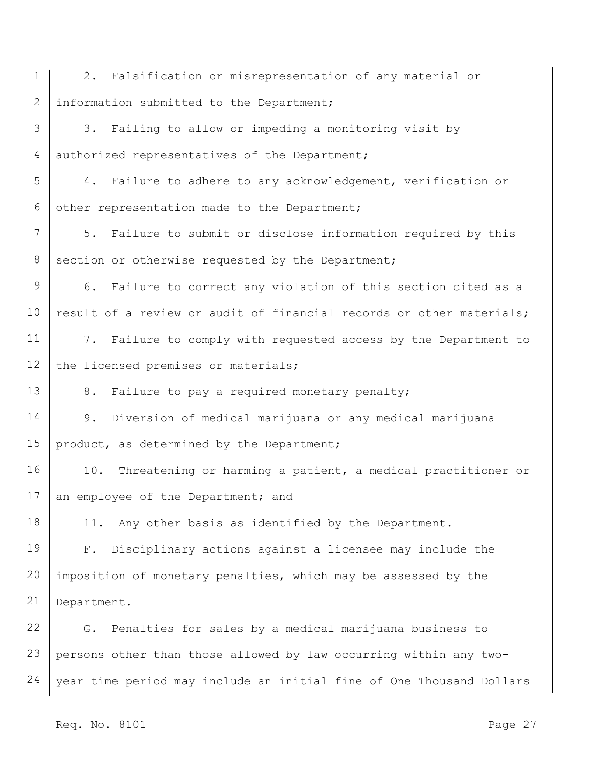1 2 3 4 5 6 7 8 9 10 11 12 13 14 15 16 17 18 19 20 21 22 23 24 2. Falsification or misrepresentation of any material or information submitted to the Department; 3. Failing to allow or impeding a monitoring visit by authorized representatives of the Department; 4. Failure to adhere to any acknowledgement, verification or other representation made to the Department; 5. Failure to submit or disclose information required by this section or otherwise requested by the Department; 6. Failure to correct any violation of this section cited as a result of a review or audit of financial records or other materials; 7. Failure to comply with requested access by the Department to the licensed premises or materials; 8. Failure to pay a required monetary penalty; 9. Diversion of medical marijuana or any medical marijuana product, as determined by the Department; 10. Threatening or harming a patient, a medical practitioner or an employee of the Department; and 11. Any other basis as identified by the Department. F. Disciplinary actions against a licensee may include the imposition of monetary penalties, which may be assessed by the Department. G. Penalties for sales by a medical marijuana business to persons other than those allowed by law occurring within any twoyear time period may include an initial fine of One Thousand Dollars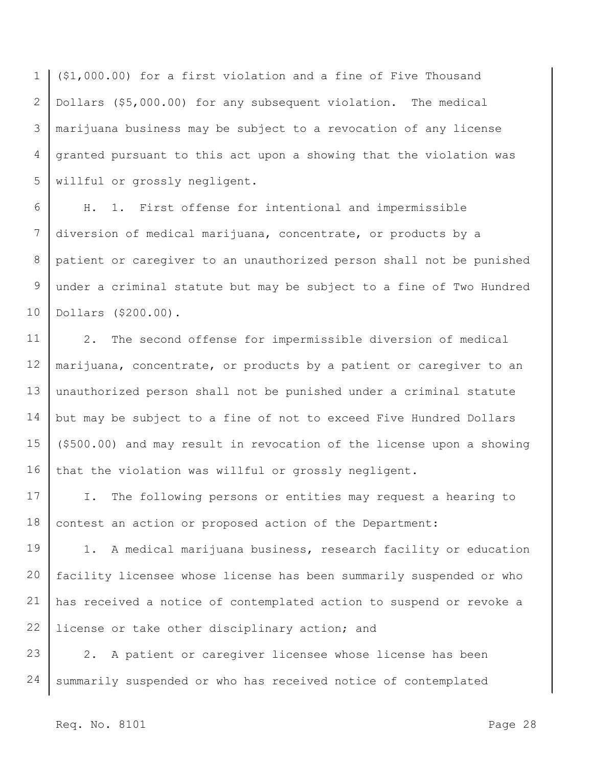1 2 3 4 5 (\$1,000.00) for a first violation and a fine of Five Thousand Dollars (\$5,000.00) for any subsequent violation. The medical marijuana business may be subject to a revocation of any license granted pursuant to this act upon a showing that the violation was willful or grossly negligent.

6 7 8 9 10 H. 1. First offense for intentional and impermissible diversion of medical marijuana, concentrate, or products by a patient or caregiver to an unauthorized person shall not be punished under a criminal statute but may be subject to a fine of Two Hundred Dollars (\$200.00).

11 12 13 14 15 16 2. The second offense for impermissible diversion of medical marijuana, concentrate, or products by a patient or caregiver to an unauthorized person shall not be punished under a criminal statute but may be subject to a fine of not to exceed Five Hundred Dollars (\$500.00) and may result in revocation of the license upon a showing that the violation was willful or grossly negligent.

17 18 I. The following persons or entities may request a hearing to contest an action or proposed action of the Department:

19 20 21 22 1. A medical marijuana business, research facility or education facility licensee whose license has been summarily suspended or who has received a notice of contemplated action to suspend or revoke a license or take other disciplinary action; and

23 24 2. A patient or caregiver licensee whose license has been summarily suspended or who has received notice of contemplated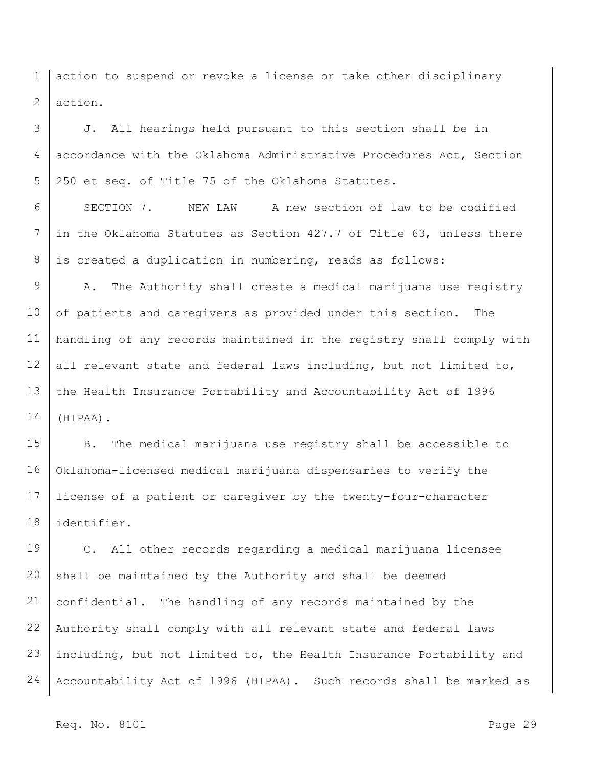1 2 action to suspend or revoke a license or take other disciplinary action.

3 4 5 J. All hearings held pursuant to this section shall be in accordance with the Oklahoma Administrative Procedures Act, Section 250 et seq. of Title 75 of the Oklahoma Statutes.

6 7 8 SECTION 7. NEW LAW A new section of law to be codified in the Oklahoma Statutes as Section 427.7 of Title 63, unless there is created a duplication in numbering, reads as follows:

9 10 11 12 13 14 A. The Authority shall create a medical marijuana use registry of patients and caregivers as provided under this section. The handling of any records maintained in the registry shall comply with all relevant state and federal laws including, but not limited to, the Health Insurance Portability and Accountability Act of 1996 (HIPAA).

15 16 17 18 B. The medical marijuana use registry shall be accessible to Oklahoma-licensed medical marijuana dispensaries to verify the license of a patient or caregiver by the twenty-four-character identifier.

19 20 21 22 23 24 C. All other records regarding a medical marijuana licensee shall be maintained by the Authority and shall be deemed confidential. The handling of any records maintained by the Authority shall comply with all relevant state and federal laws including, but not limited to, the Health Insurance Portability and Accountability Act of 1996 (HIPAA). Such records shall be marked as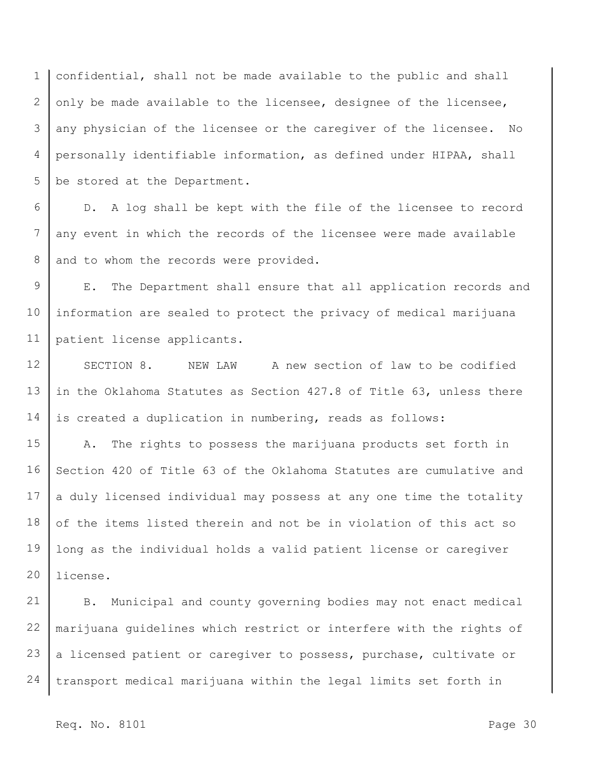1 2 3 4 5 confidential, shall not be made available to the public and shall only be made available to the licensee, designee of the licensee, any physician of the licensee or the caregiver of the licensee. No personally identifiable information, as defined under HIPAA, shall be stored at the Department.

6 7 8 D. A log shall be kept with the file of the licensee to record any event in which the records of the licensee were made available and to whom the records were provided.

9 10 11 E. The Department shall ensure that all application records and information are sealed to protect the privacy of medical marijuana patient license applicants.

12 13 14 SECTION 8. NEW LAW A new section of law to be codified in the Oklahoma Statutes as Section 427.8 of Title 63, unless there is created a duplication in numbering, reads as follows:

15 16 17 18 19 20 A. The rights to possess the marijuana products set forth in Section 420 of Title 63 of the Oklahoma Statutes are cumulative and a duly licensed individual may possess at any one time the totality of the items listed therein and not be in violation of this act so long as the individual holds a valid patient license or caregiver license.

21 22 23 24 B. Municipal and county governing bodies may not enact medical marijuana guidelines which restrict or interfere with the rights of a licensed patient or caregiver to possess, purchase, cultivate or transport medical marijuana within the legal limits set forth in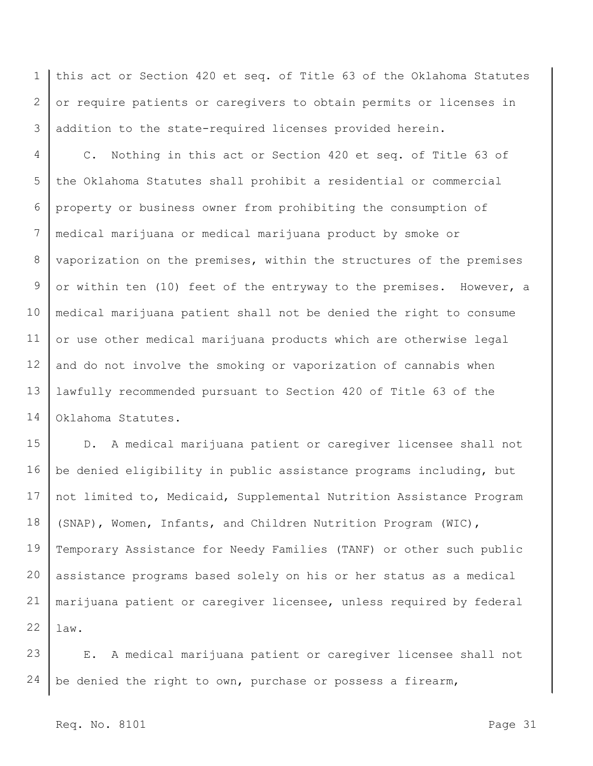1 2 3 this act or Section 420 et seq. of Title 63 of the Oklahoma Statutes or require patients or caregivers to obtain permits or licenses in addition to the state-required licenses provided herein.

4 5 6 7 8 9 10 11 12 13 14 C. Nothing in this act or Section 420 et seq. of Title 63 of the Oklahoma Statutes shall prohibit a residential or commercial property or business owner from prohibiting the consumption of medical marijuana or medical marijuana product by smoke or vaporization on the premises, within the structures of the premises or within ten (10) feet of the entryway to the premises. However, a medical marijuana patient shall not be denied the right to consume or use other medical marijuana products which are otherwise legal and do not involve the smoking or vaporization of cannabis when lawfully recommended pursuant to Section 420 of Title 63 of the Oklahoma Statutes.

15 16 17 18 19 20 21 22 D. A medical marijuana patient or caregiver licensee shall not be denied eligibility in public assistance programs including, but not limited to, Medicaid, Supplemental Nutrition Assistance Program (SNAP), Women, Infants, and Children Nutrition Program (WIC), Temporary Assistance for Needy Families (TANF) or other such public assistance programs based solely on his or her status as a medical marijuana patient or caregiver licensee, unless required by federal law.

23 24 E. A medical marijuana patient or caregiver licensee shall not be denied the right to own, purchase or possess a firearm,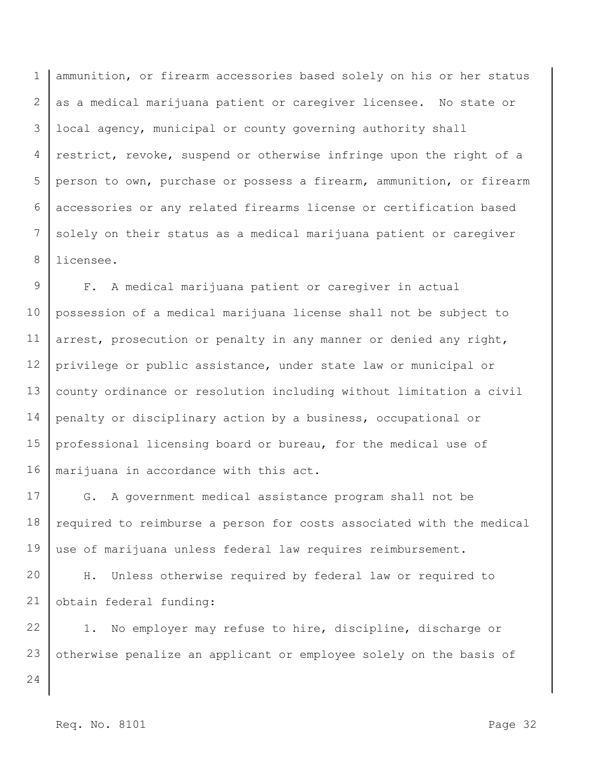1 2 3 4 5 6 7 8 ammunition, or firearm accessories based solely on his or her status as a medical marijuana patient or caregiver licensee. No state or local agency, municipal or county governing authority shall restrict, revoke, suspend or otherwise infringe upon the right of a person to own, purchase or possess a firearm, ammunition, or firearm accessories or any related firearms license or certification based solely on their status as a medical marijuana patient or caregiver licensee.

9 10 11 12 13 14 15 16 F. A medical marijuana patient or caregiver in actual possession of a medical marijuana license shall not be subject to arrest, prosecution or penalty in any manner or denied any right, privilege or public assistance, under state law or municipal or county ordinance or resolution including without limitation a civil penalty or disciplinary action by a business, occupational or professional licensing board or bureau, for the medical use of marijuana in accordance with this act.

17 18 19 G. A government medical assistance program shall not be required to reimburse a person for costs associated with the medical use of marijuana unless federal law requires reimbursement.

20 21 H. Unless otherwise required by federal law or required to obtain federal funding:

22 23 1. No employer may refuse to hire, discipline, discharge or otherwise penalize an applicant or employee solely on the basis of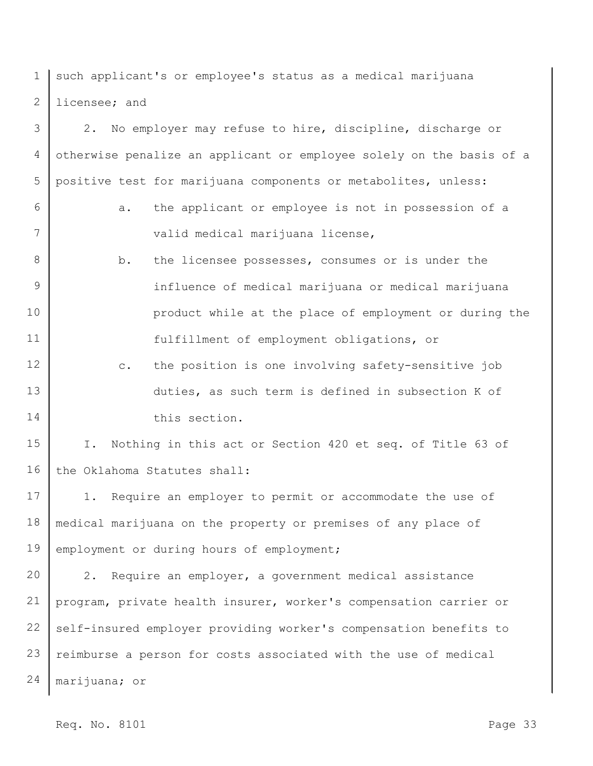1 2 such applicant's or employee's status as a medical marijuana licensee; and

3 4 5 2. No employer may refuse to hire, discipline, discharge or otherwise penalize an applicant or employee solely on the basis of a positive test for marijuana components or metabolites, unless:

6

7

- a. the applicant or employee is not in possession of a valid medical marijuana license,
- 8 9 10 11 b. the licensee possesses, consumes or is under the influence of medical marijuana or medical marijuana product while at the place of employment or during the fulfillment of employment obligations, or
- 12 13 14 c. the position is one involving safety-sensitive job duties, as such term is defined in subsection K of this section.

15 16 I. Nothing in this act or Section 420 et seq. of Title 63 of the Oklahoma Statutes shall:

17 18 19 1. Require an employer to permit or accommodate the use of medical marijuana on the property or premises of any place of employment or during hours of employment;

20 21 22 23 24 2. Require an employer, a government medical assistance program, private health insurer, worker's compensation carrier or self-insured employer providing worker's compensation benefits to reimburse a person for costs associated with the use of medical marijuana; or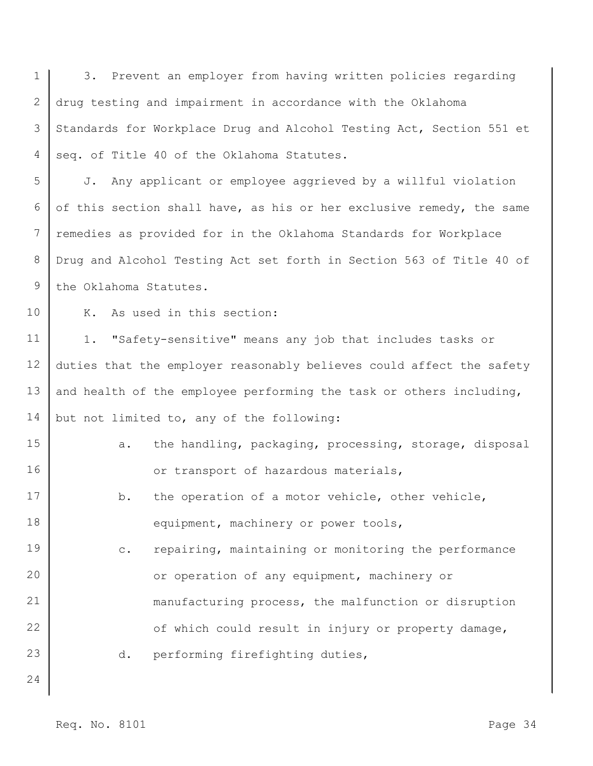1 2 3 4 5 6 7 8 9 10 11 12 13 14 15 16 17 18 19 20 21 22 23 24 3. Prevent an employer from having written policies regarding drug testing and impairment in accordance with the Oklahoma Standards for Workplace Drug and Alcohol Testing Act, Section 551 et seq. of Title 40 of the Oklahoma Statutes. J. Any applicant or employee aggrieved by a willful violation of this section shall have, as his or her exclusive remedy, the same remedies as provided for in the Oklahoma Standards for Workplace Drug and Alcohol Testing Act set forth in Section 563 of Title 40 of the Oklahoma Statutes. K. As used in this section: 1. "Safety-sensitive" means any job that includes tasks or duties that the employer reasonably believes could affect the safety and health of the employee performing the task or others including, but not limited to, any of the following: a. the handling, packaging, processing, storage, disposal or transport of hazardous materials, b. the operation of a motor vehicle, other vehicle, equipment, machinery or power tools, c. repairing, maintaining or monitoring the performance or operation of any equipment, machinery or manufacturing process, the malfunction or disruption of which could result in injury or property damage, d. performing firefighting duties,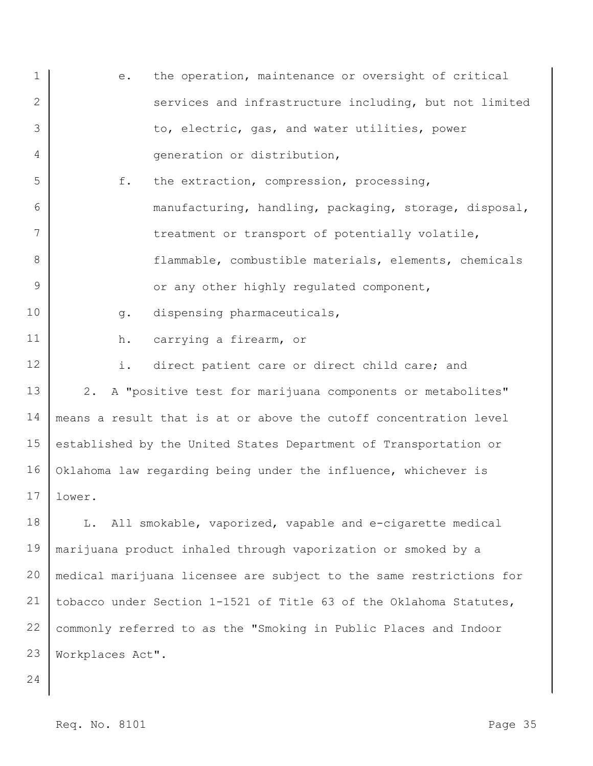| $\mathbf 1$ | the operation, maintenance or oversight of critical<br>е.           |
|-------------|---------------------------------------------------------------------|
| 2           | services and infrastructure including, but not limited              |
| 3           | to, electric, gas, and water utilities, power                       |
| 4           | generation or distribution,                                         |
| 5           | f.<br>the extraction, compression, processing,                      |
| 6           | manufacturing, handling, packaging, storage, disposal,              |
| 7           | treatment or transport of potentially volatile,                     |
| 8           | flammable, combustible materials, elements, chemicals               |
| 9           | or any other highly regulated component,                            |
| 10          | dispensing pharmaceuticals,<br>$g$ .                                |
| 11          | carrying a firearm, or<br>h.                                        |
| 12          | i.<br>direct patient care or direct child care; and                 |
| 13          | 2. A "positive test for marijuana components or metabolites"        |
| 14          | means a result that is at or above the cutoff concentration level   |
| 15          | established by the United States Department of Transportation or    |
| 16          | Oklahoma law regarding being under the influence, whichever is      |
| 17          | lower.                                                              |
| 18          | L. All smokable, vaporized, vapable and e-cigarette medical         |
| 19          | marijuana product inhaled through vaporization or smoked by a       |
| 20          | medical marijuana licensee are subject to the same restrictions for |
| 21          | tobacco under Section 1-1521 of Title 63 of the Oklahoma Statutes,  |
| 22          | commonly referred to as the "Smoking in Public Places and Indoor    |
| 23          | Workplaces Act".                                                    |
|             |                                                                     |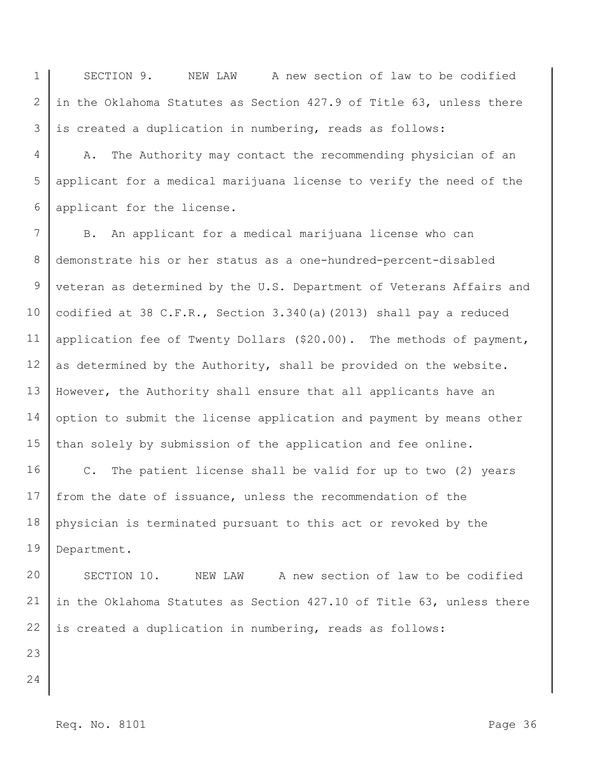1 2 3 SECTION 9. NEW LAW A new section of law to be codified in the Oklahoma Statutes as Section 427.9 of Title 63, unless there is created a duplication in numbering, reads as follows:

4 5 6 A. The Authority may contact the recommending physician of an applicant for a medical marijuana license to verify the need of the applicant for the license.

7 8 9 10 11 12 13 14 15 B. An applicant for a medical marijuana license who can demonstrate his or her status as a one-hundred-percent-disabled veteran as determined by the U.S. Department of Veterans Affairs and codified at 38 C.F.R., Section 3.340(a)(2013) shall pay a reduced application fee of Twenty Dollars (\$20.00). The methods of payment, as determined by the Authority, shall be provided on the website. However, the Authority shall ensure that all applicants have an option to submit the license application and payment by means other than solely by submission of the application and fee online.

16 17 18 19 C. The patient license shall be valid for up to two (2) years from the date of issuance, unless the recommendation of the physician is terminated pursuant to this act or revoked by the Department.

20 21 22 SECTION 10. NEW LAW A new section of law to be codified in the Oklahoma Statutes as Section 427.10 of Title 63, unless there is created a duplication in numbering, reads as follows:

- 23
- 24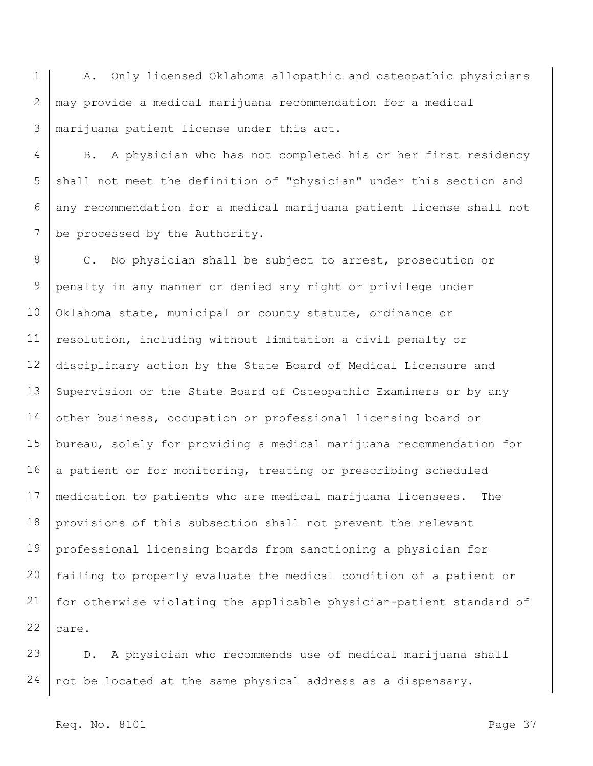1 2 3 A. Only licensed Oklahoma allopathic and osteopathic physicians may provide a medical marijuana recommendation for a medical marijuana patient license under this act.

4 5 6 7 B. A physician who has not completed his or her first residency shall not meet the definition of "physician" under this section and any recommendation for a medical marijuana patient license shall not be processed by the Authority.

8 9 10 11 12 13 14 15 16 17 18 19 20 21 22 C. No physician shall be subject to arrest, prosecution or penalty in any manner or denied any right or privilege under Oklahoma state, municipal or county statute, ordinance or resolution, including without limitation a civil penalty or disciplinary action by the State Board of Medical Licensure and Supervision or the State Board of Osteopathic Examiners or by any other business, occupation or professional licensing board or bureau, solely for providing a medical marijuana recommendation for a patient or for monitoring, treating or prescribing scheduled medication to patients who are medical marijuana licensees. The provisions of this subsection shall not prevent the relevant professional licensing boards from sanctioning a physician for failing to properly evaluate the medical condition of a patient or for otherwise violating the applicable physician-patient standard of care.

23 24 D. A physician who recommends use of medical marijuana shall not be located at the same physical address as a dispensary.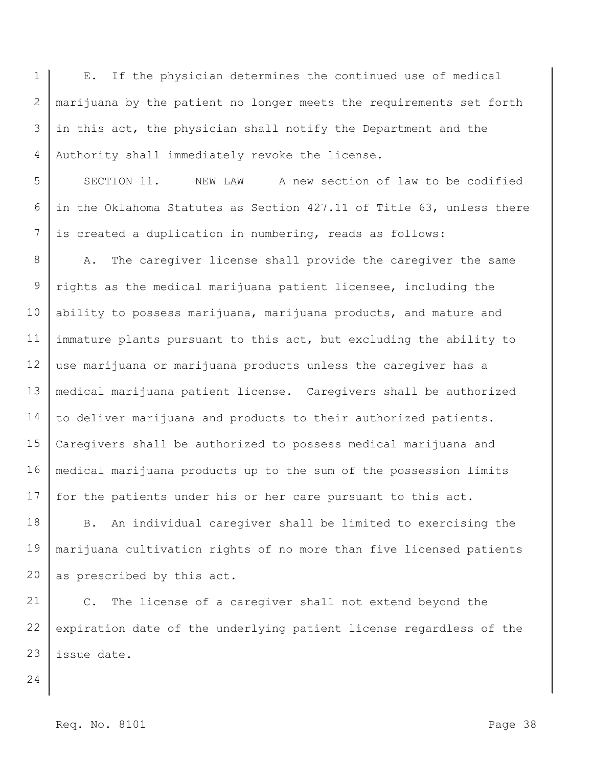1 2 3 4 E. If the physician determines the continued use of medical marijuana by the patient no longer meets the requirements set forth in this act, the physician shall notify the Department and the Authority shall immediately revoke the license.

5 6 7 SECTION 11. NEW LAW A new section of law to be codified in the Oklahoma Statutes as Section 427.11 of Title 63, unless there is created a duplication in numbering, reads as follows:

8 9 10 11 12 13 14 15 16 17 A. The caregiver license shall provide the caregiver the same rights as the medical marijuana patient licensee, including the ability to possess marijuana, marijuana products, and mature and immature plants pursuant to this act, but excluding the ability to use marijuana or marijuana products unless the caregiver has a medical marijuana patient license. Caregivers shall be authorized to deliver marijuana and products to their authorized patients. Caregivers shall be authorized to possess medical marijuana and medical marijuana products up to the sum of the possession limits for the patients under his or her care pursuant to this act.

18 19 20 B. An individual caregiver shall be limited to exercising the marijuana cultivation rights of no more than five licensed patients as prescribed by this act.

21 22 23 C. The license of a caregiver shall not extend beyond the expiration date of the underlying patient license regardless of the issue date.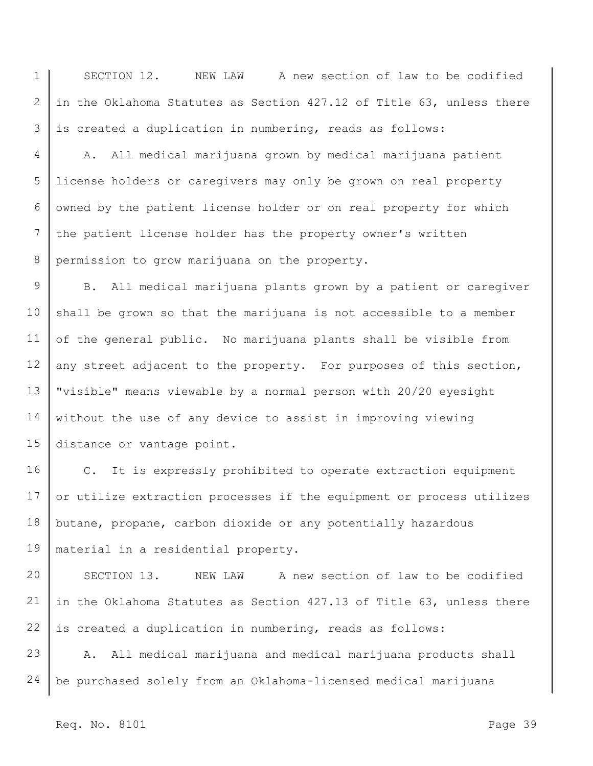1 2 3 SECTION 12. NEW LAW A new section of law to be codified in the Oklahoma Statutes as Section 427.12 of Title 63, unless there is created a duplication in numbering, reads as follows:

4 5 6 7 8 A. All medical marijuana grown by medical marijuana patient license holders or caregivers may only be grown on real property owned by the patient license holder or on real property for which the patient license holder has the property owner's written permission to grow marijuana on the property.

9 10 11 12 13 14 15 B. All medical marijuana plants grown by a patient or caregiver shall be grown so that the marijuana is not accessible to a member of the general public. No marijuana plants shall be visible from any street adjacent to the property. For purposes of this section, "visible" means viewable by a normal person with 20/20 eyesight without the use of any device to assist in improving viewing distance or vantage point.

16 17 18 19 C. It is expressly prohibited to operate extraction equipment or utilize extraction processes if the equipment or process utilizes butane, propane, carbon dioxide or any potentially hazardous material in a residential property.

20 21 22 SECTION 13. NEW LAW A new section of law to be codified in the Oklahoma Statutes as Section 427.13 of Title 63, unless there is created a duplication in numbering, reads as follows:

23 24 A. All medical marijuana and medical marijuana products shall be purchased solely from an Oklahoma-licensed medical marijuana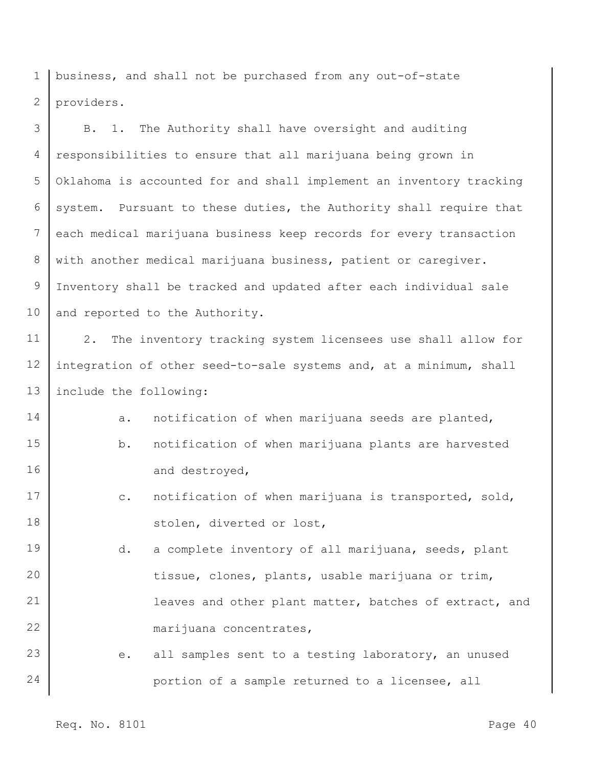1 2 business, and shall not be purchased from any out-of-state providers.

3 4 5 6 7 8 9 10 B. 1. The Authority shall have oversight and auditing responsibilities to ensure that all marijuana being grown in Oklahoma is accounted for and shall implement an inventory tracking system. Pursuant to these duties, the Authority shall require that each medical marijuana business keep records for every transaction with another medical marijuana business, patient or caregiver. Inventory shall be tracked and updated after each individual sale and reported to the Authority.

11 12 13 2. The inventory tracking system licensees use shall allow for integration of other seed-to-sale systems and, at a minimum, shall include the following:

14 15 16 a. notification of when marijuana seeds are planted, b. notification of when marijuana plants are harvested and destroyed,

- 17 18 c. notification of when marijuana is transported, sold, stolen, diverted or lost,
- 19 20 21 22 d. a complete inventory of all marijuana, seeds, plant tissue, clones, plants, usable marijuana or trim, leaves and other plant matter, batches of extract, and marijuana concentrates,

23 24 e. all samples sent to a testing laboratory, an unused portion of a sample returned to a licensee, all

Req. No. 8101 Page 40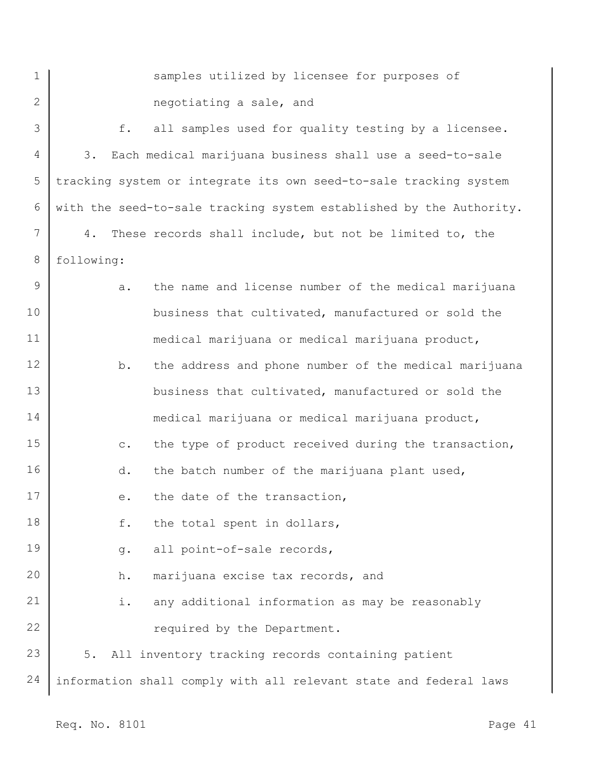1

2

samples utilized by licensee for purposes of negotiating a sale, and

3 4 5 6 7 8 9 10 11 12 13 14 15 16 17 18 19 20 21 22 23 24 f. all samples used for quality testing by a licensee. 3. Each medical marijuana business shall use a seed-to-sale tracking system or integrate its own seed-to-sale tracking system with the seed-to-sale tracking system established by the Authority. 4. These records shall include, but not be limited to, the following: a. the name and license number of the medical marijuana business that cultivated, manufactured or sold the medical marijuana or medical marijuana product, b. the address and phone number of the medical marijuana business that cultivated, manufactured or sold the medical marijuana or medical marijuana product, c. the type of product received during the transaction, d. the batch number of the marijuana plant used, e. the date of the transaction, f. the total spent in dollars, g. all point-of-sale records, h. marijuana excise tax records, and i. any additional information as may be reasonably required by the Department. 5. All inventory tracking records containing patient information shall comply with all relevant state and federal laws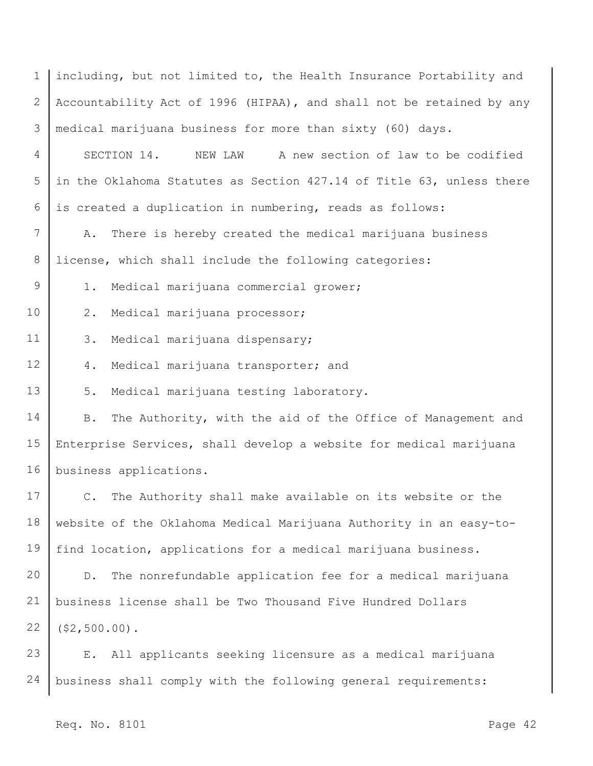1 2 3 4 5 6 7 8 9 10 11 12 13 14 15 16 17 18 19 20 21 22 23 24 including, but not limited to, the Health Insurance Portability and Accountability Act of 1996 (HIPAA), and shall not be retained by any medical marijuana business for more than sixty (60) days. SECTION 14. NEW LAW A new section of law to be codified in the Oklahoma Statutes as Section 427.14 of Title 63, unless there is created a duplication in numbering, reads as follows: A. There is hereby created the medical marijuana business license, which shall include the following categories: 1. Medical marijuana commercial grower; 2. Medical marijuana processor; 3. Medical marijuana dispensary; 4. Medical marijuana transporter; and 5. Medical marijuana testing laboratory. B. The Authority, with the aid of the Office of Management and Enterprise Services, shall develop a website for medical marijuana business applications. C. The Authority shall make available on its website or the website of the Oklahoma Medical Marijuana Authority in an easy-tofind location, applications for a medical marijuana business. D. The nonrefundable application fee for a medical marijuana business license shall be Two Thousand Five Hundred Dollars (\$2,500.00). E. All applicants seeking licensure as a medical marijuana business shall comply with the following general requirements: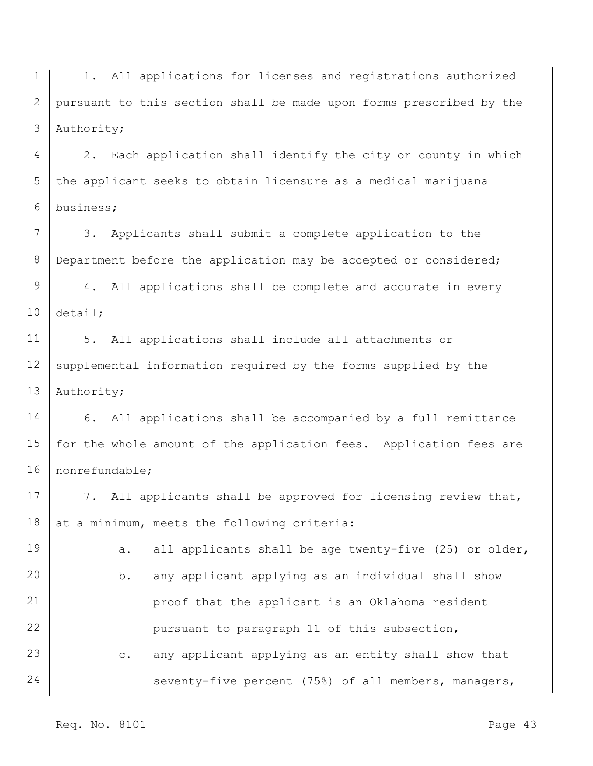1 2 3 1. All applications for licenses and registrations authorized pursuant to this section shall be made upon forms prescribed by the Authority;

4 5 6 2. Each application shall identify the city or county in which the applicant seeks to obtain licensure as a medical marijuana business;

7 8 3. Applicants shall submit a complete application to the Department before the application may be accepted or considered;

9 10 4. All applications shall be complete and accurate in every detail;

11 12 13 5. All applications shall include all attachments or supplemental information required by the forms supplied by the Authority;

14 15 16 6. All applications shall be accompanied by a full remittance for the whole amount of the application fees. Application fees are nonrefundable;

17 18 7. All applicants shall be approved for licensing review that, at a minimum, meets the following criteria:

19 20 21 22 23 24 a. all applicants shall be age twenty-five (25) or older, b. any applicant applying as an individual shall show proof that the applicant is an Oklahoma resident pursuant to paragraph 11 of this subsection, c. any applicant applying as an entity shall show that seventy-five percent (75%) of all members, managers,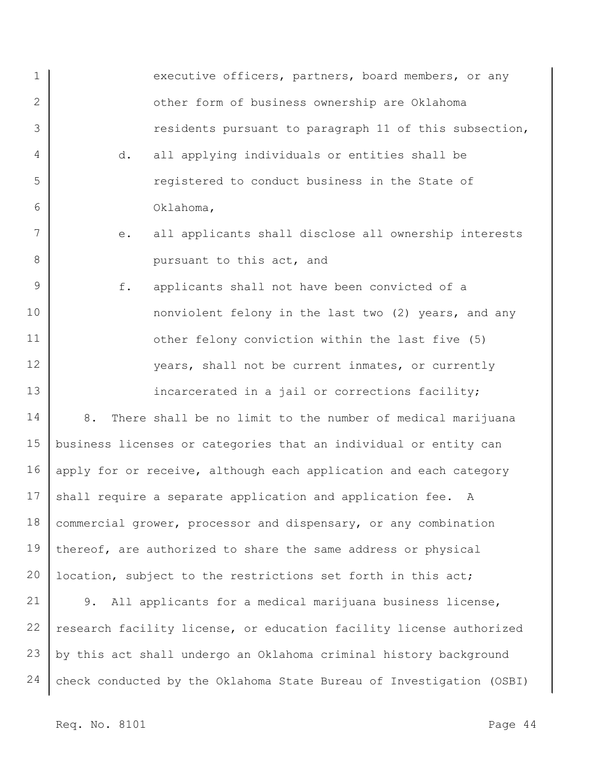1 2 3 4 5 6 7 8 9 10 11 12 13 14 15 16 17 18 19 20 executive officers, partners, board members, or any other form of business ownership are Oklahoma residents pursuant to paragraph 11 of this subsection, d. all applying individuals or entities shall be registered to conduct business in the State of Oklahoma, e. all applicants shall disclose all ownership interests pursuant to this act, and f. applicants shall not have been convicted of a nonviolent felony in the last two (2) years, and any other felony conviction within the last five (5) years, shall not be current inmates, or currently incarcerated in a jail or corrections facility; 8. There shall be no limit to the number of medical marijuana business licenses or categories that an individual or entity can apply for or receive, although each application and each category shall require a separate application and application fee. A commercial grower, processor and dispensary, or any combination thereof, are authorized to share the same address or physical location, subject to the restrictions set forth in this act;

21 22 23 24 9. All applicants for a medical marijuana business license, research facility license, or education facility license authorized by this act shall undergo an Oklahoma criminal history background check conducted by the Oklahoma State Bureau of Investigation (OSBI)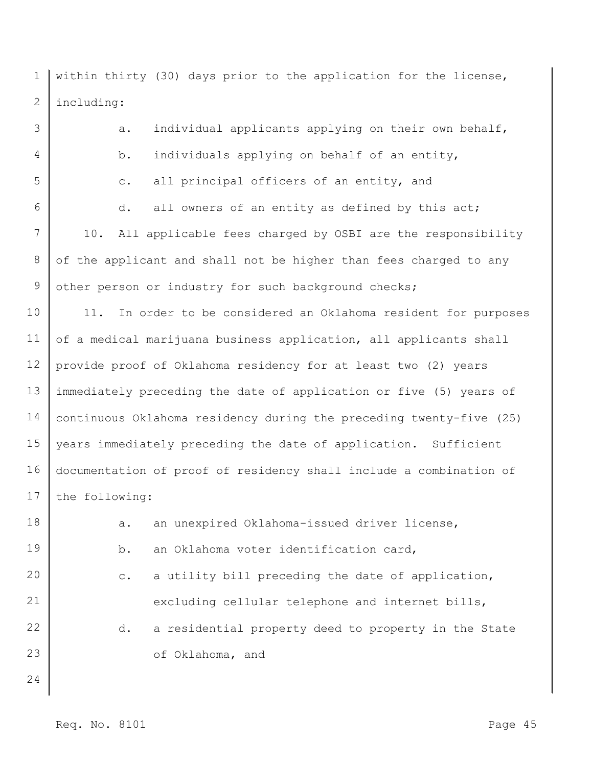1 2 within thirty (30) days prior to the application for the license, including:

3 4 5 6 7 8 9 10 11 12 13 14 15 16 17 18 19 20 21 22 23 a. individual applicants applying on their own behalf, b. individuals applying on behalf of an entity, c. all principal officers of an entity, and d. all owners of an entity as defined by this act; 10. All applicable fees charged by OSBI are the responsibility of the applicant and shall not be higher than fees charged to any other person or industry for such background checks; 11. In order to be considered an Oklahoma resident for purposes of a medical marijuana business application, all applicants shall provide proof of Oklahoma residency for at least two (2) years immediately preceding the date of application or five (5) years of continuous Oklahoma residency during the preceding twenty-five (25) years immediately preceding the date of application. Sufficient documentation of proof of residency shall include a combination of the following: a. an unexpired Oklahoma-issued driver license, b. an Oklahoma voter identification card, c. a utility bill preceding the date of application, excluding cellular telephone and internet bills, d. a residential property deed to property in the State of Oklahoma, and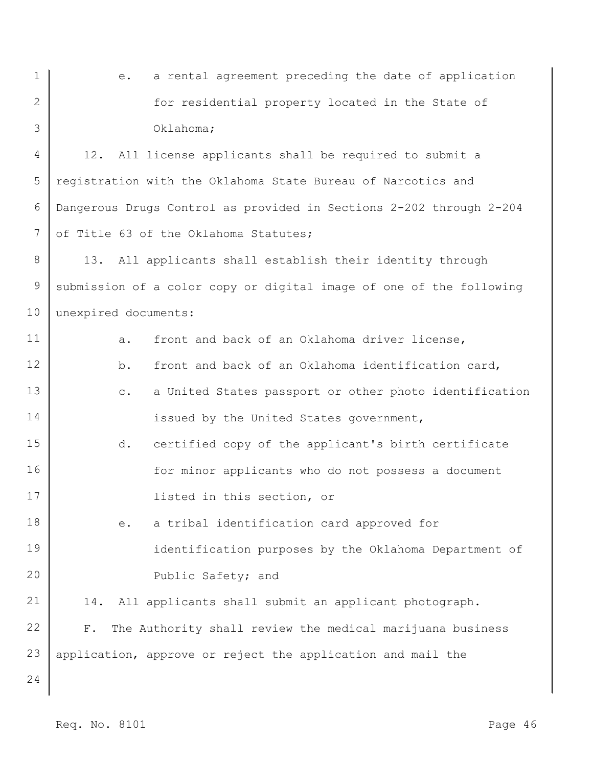1 2 3 e. a rental agreement preceding the date of application for residential property located in the State of Oklahoma;

4 5 6 7 12. All license applicants shall be required to submit a registration with the Oklahoma State Bureau of Narcotics and Dangerous Drugs Control as provided in Sections 2-202 through 2-204 of Title 63 of the Oklahoma Statutes;

8 9 10 13. All applicants shall establish their identity through submission of a color copy or digital image of one of the following unexpired documents:

11 12 13 14 15 16 17 18 19 20 21 22 23 24 a. front and back of an Oklahoma driver license, b. front and back of an Oklahoma identification card, c. a United States passport or other photo identification issued by the United States government, d. certified copy of the applicant's birth certificate for minor applicants who do not possess a document listed in this section, or e. a tribal identification card approved for identification purposes by the Oklahoma Department of Public Safety; and 14. All applicants shall submit an applicant photograph. F. The Authority shall review the medical marijuana business application, approve or reject the application and mail the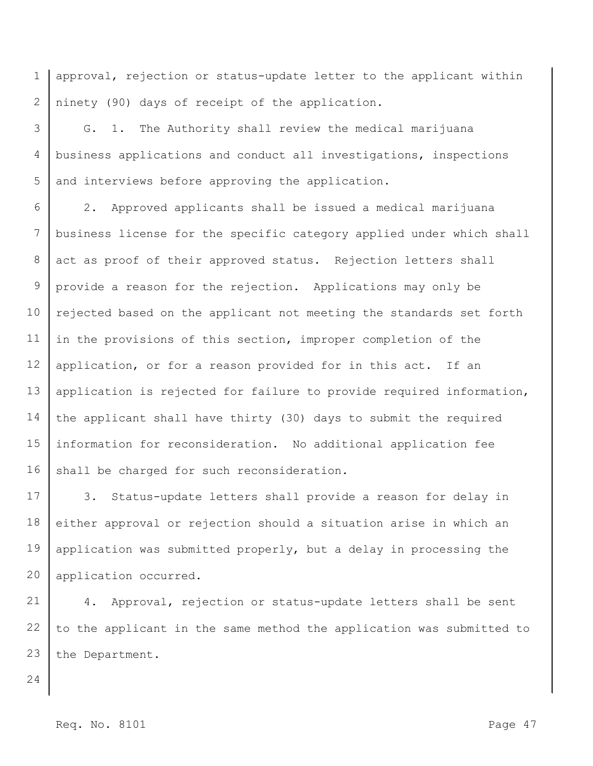1 2 approval, rejection or status-update letter to the applicant within ninety (90) days of receipt of the application.

3 4 5 G. 1. The Authority shall review the medical marijuana business applications and conduct all investigations, inspections and interviews before approving the application.

6 7 8 9 10 11 12 13 14 15 16 2. Approved applicants shall be issued a medical marijuana business license for the specific category applied under which shall act as proof of their approved status. Rejection letters shall provide a reason for the rejection. Applications may only be rejected based on the applicant not meeting the standards set forth in the provisions of this section, improper completion of the application, or for a reason provided for in this act. If an application is rejected for failure to provide required information, the applicant shall have thirty (30) days to submit the required information for reconsideration. No additional application fee shall be charged for such reconsideration.

17 18 19 20 3. Status-update letters shall provide a reason for delay in either approval or rejection should a situation arise in which an application was submitted properly, but a delay in processing the application occurred.

21 22 23 4. Approval, rejection or status-update letters shall be sent to the applicant in the same method the application was submitted to the Department.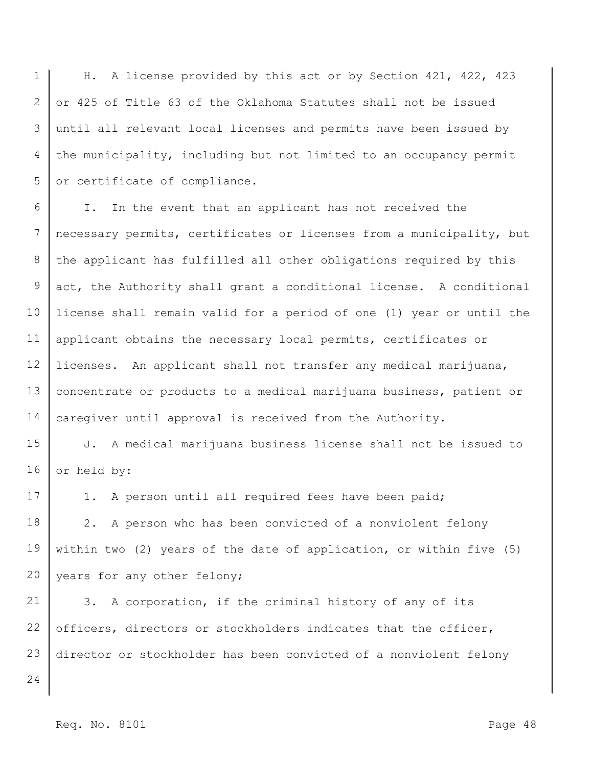1 2 3 4 5 H. A license provided by this act or by Section 421, 422, 423 or 425 of Title 63 of the Oklahoma Statutes shall not be issued until all relevant local licenses and permits have been issued by the municipality, including but not limited to an occupancy permit or certificate of compliance.

6 7 8 9 10 11 12 13 14 I. In the event that an applicant has not received the necessary permits, certificates or licenses from a municipality, but the applicant has fulfilled all other obligations required by this act, the Authority shall grant a conditional license. A conditional license shall remain valid for a period of one (1) year or until the applicant obtains the necessary local permits, certificates or licenses. An applicant shall not transfer any medical marijuana, concentrate or products to a medical marijuana business, patient or caregiver until approval is received from the Authority.

15 16 J. A medical marijuana business license shall not be issued to or held by:

17 1. A person until all required fees have been paid;

18 19 20 2. A person who has been convicted of a nonviolent felony within two (2) years of the date of application, or within five (5) years for any other felony;

21 22 23 3. A corporation, if the criminal history of any of its officers, directors or stockholders indicates that the officer, director or stockholder has been convicted of a nonviolent felony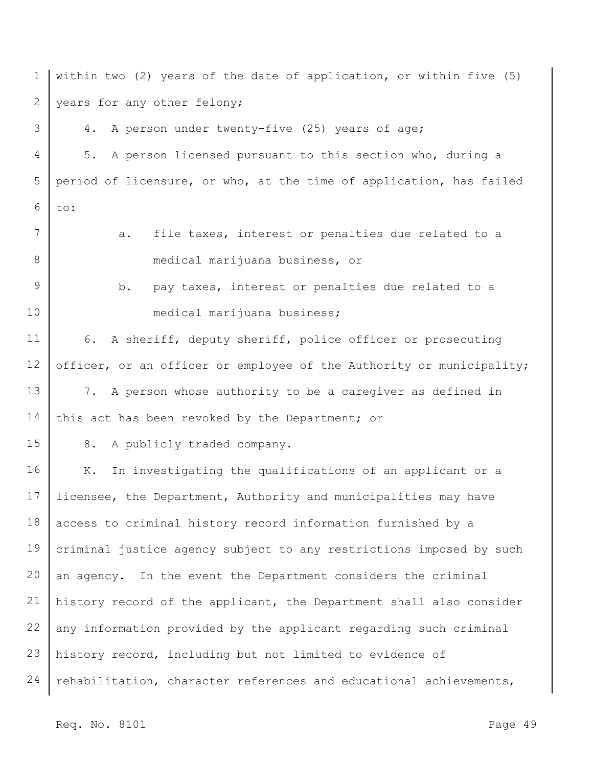1 2 3 4 5 6 7 8 9 10 11 12 13 14 15 16 17 18 19 20 21 22 23 24 within two (2) years of the date of application, or within five (5) years for any other felony; 4. A person under twenty-five (25) years of age; 5. A person licensed pursuant to this section who, during a period of licensure, or who, at the time of application, has failed to: a. file taxes, interest or penalties due related to a medical marijuana business, or b. pay taxes, interest or penalties due related to a medical marijuana business; 6. A sheriff, deputy sheriff, police officer or prosecuting officer, or an officer or employee of the Authority or municipality; 7. A person whose authority to be a caregiver as defined in this act has been revoked by the Department; or 8. A publicly traded company. K. In investigating the qualifications of an applicant or a licensee, the Department, Authority and municipalities may have access to criminal history record information furnished by a criminal justice agency subject to any restrictions imposed by such an agency. In the event the Department considers the criminal history record of the applicant, the Department shall also consider any information provided by the applicant regarding such criminal history record, including but not limited to evidence of rehabilitation, character references and educational achievements,

Req. No. 8101 Page 49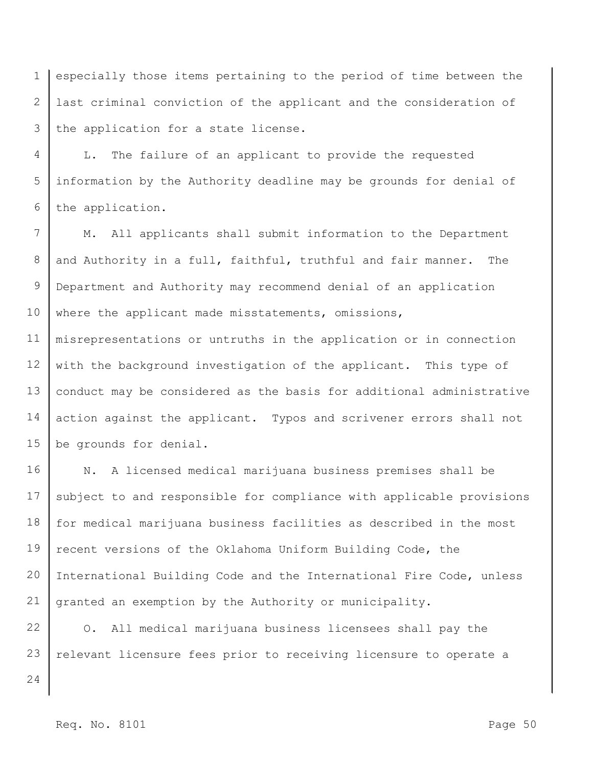1 2 3 especially those items pertaining to the period of time between the last criminal conviction of the applicant and the consideration of the application for a state license.

4 5 6 L. The failure of an applicant to provide the requested information by the Authority deadline may be grounds for denial of the application.

7 8 9 10 11 12 13 M. All applicants shall submit information to the Department and Authority in a full, faithful, truthful and fair manner. The Department and Authority may recommend denial of an application where the applicant made misstatements, omissions, misrepresentations or untruths in the application or in connection with the background investigation of the applicant. This type of

14 15 action against the applicant. Typos and scrivener errors shall not be grounds for denial.

conduct may be considered as the basis for additional administrative

16 17 18 19 20 21 N. A licensed medical marijuana business premises shall be subject to and responsible for compliance with applicable provisions for medical marijuana business facilities as described in the most recent versions of the Oklahoma Uniform Building Code, the International Building Code and the International Fire Code, unless granted an exemption by the Authority or municipality.

22 23 O. All medical marijuana business licensees shall pay the relevant licensure fees prior to receiving licensure to operate a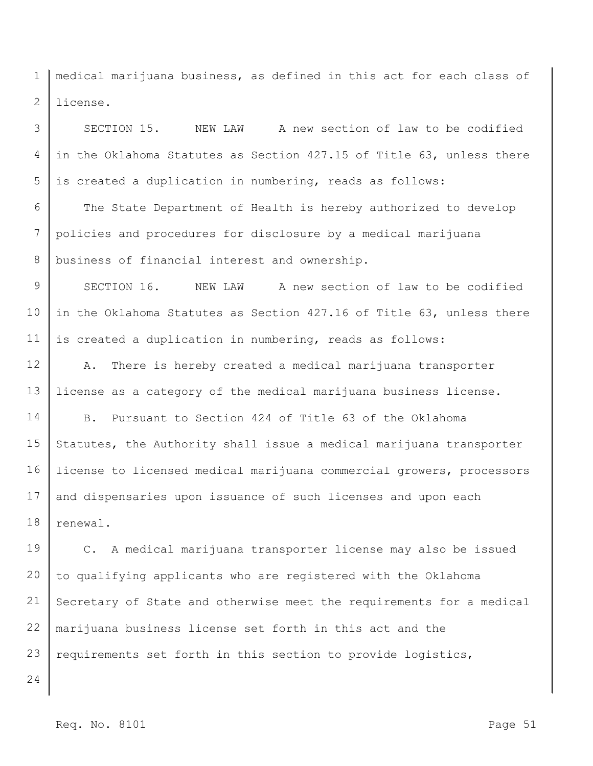1 2 medical marijuana business, as defined in this act for each class of license.

3 4 5 SECTION 15. NEW LAW A new section of law to be codified in the Oklahoma Statutes as Section 427.15 of Title 63, unless there is created a duplication in numbering, reads as follows:

6 7 8 The State Department of Health is hereby authorized to develop policies and procedures for disclosure by a medical marijuana business of financial interest and ownership.

9 10 11 SECTION 16. NEW LAW A new section of law to be codified in the Oklahoma Statutes as Section 427.16 of Title 63, unless there is created a duplication in numbering, reads as follows:

12 13 A. There is hereby created a medical marijuana transporter license as a category of the medical marijuana business license.

14 15 16 17 18 B. Pursuant to Section 424 of Title 63 of the Oklahoma Statutes, the Authority shall issue a medical marijuana transporter license to licensed medical marijuana commercial growers, processors and dispensaries upon issuance of such licenses and upon each renewal.

19 20 21 22 23 C. A medical marijuana transporter license may also be issued to qualifying applicants who are registered with the Oklahoma Secretary of State and otherwise meet the requirements for a medical marijuana business license set forth in this act and the requirements set forth in this section to provide logistics,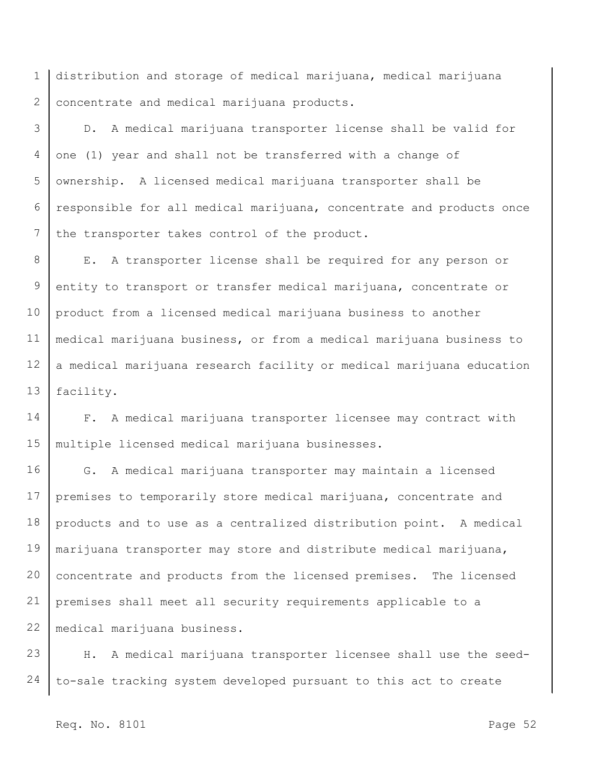1 2 distribution and storage of medical marijuana, medical marijuana concentrate and medical marijuana products.

3 4 5 6 7 D. A medical marijuana transporter license shall be valid for one (1) year and shall not be transferred with a change of ownership. A licensed medical marijuana transporter shall be responsible for all medical marijuana, concentrate and products once the transporter takes control of the product.

8 9 10 11 12 13 E. A transporter license shall be required for any person or entity to transport or transfer medical marijuana, concentrate or product from a licensed medical marijuana business to another medical marijuana business, or from a medical marijuana business to a medical marijuana research facility or medical marijuana education facility.

14 15 F. A medical marijuana transporter licensee may contract with multiple licensed medical marijuana businesses.

16 17 18 19 20 21 22 G. A medical marijuana transporter may maintain a licensed premises to temporarily store medical marijuana, concentrate and products and to use as a centralized distribution point. A medical marijuana transporter may store and distribute medical marijuana, concentrate and products from the licensed premises. The licensed premises shall meet all security requirements applicable to a medical marijuana business.

23 24 H. A medical marijuana transporter licensee shall use the seedto-sale tracking system developed pursuant to this act to create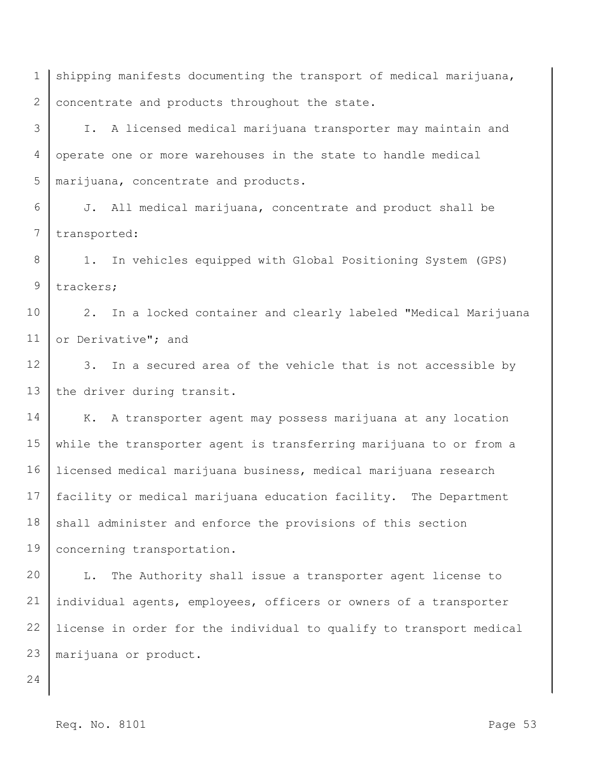1 2 shipping manifests documenting the transport of medical marijuana, concentrate and products throughout the state.

3 4 5 I. A licensed medical marijuana transporter may maintain and operate one or more warehouses in the state to handle medical marijuana, concentrate and products.

6 7 J. All medical marijuana, concentrate and product shall be transported:

8 9 1. In vehicles equipped with Global Positioning System (GPS) trackers;

10 11 2. In a locked container and clearly labeled "Medical Marijuana or Derivative"; and

12 13 3. In a secured area of the vehicle that is not accessible by the driver during transit.

14 15 16 17 18 19 K. A transporter agent may possess marijuana at any location while the transporter agent is transferring marijuana to or from a licensed medical marijuana business, medical marijuana research facility or medical marijuana education facility. The Department shall administer and enforce the provisions of this section concerning transportation.

20 21 22 23 L. The Authority shall issue a transporter agent license to individual agents, employees, officers or owners of a transporter license in order for the individual to qualify to transport medical marijuana or product.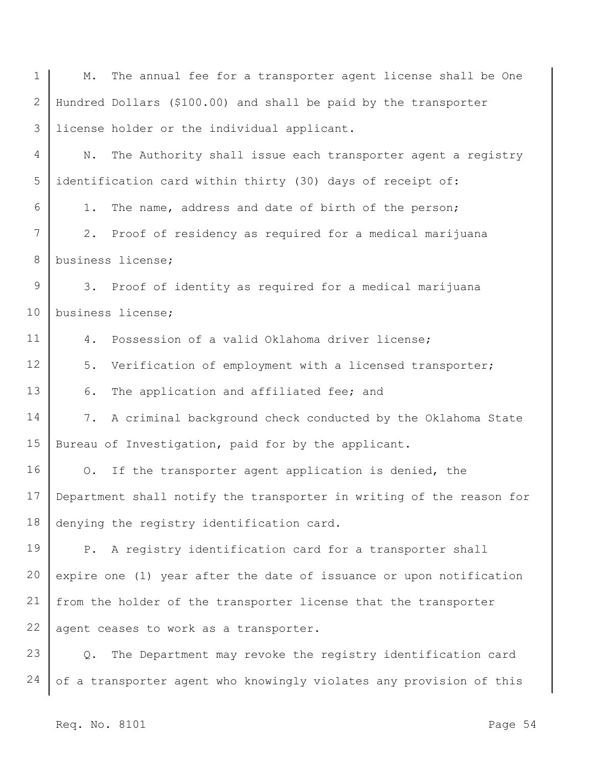1 2 3 4 5 6 7 8 9 10 11 12 13 14 15 16 17 18 19 20 21 22 23 24 M. The annual fee for a transporter agent license shall be One Hundred Dollars (\$100.00) and shall be paid by the transporter license holder or the individual applicant. N. The Authority shall issue each transporter agent a registry identification card within thirty (30) days of receipt of: 1. The name, address and date of birth of the person; 2. Proof of residency as required for a medical marijuana business license; 3. Proof of identity as required for a medical marijuana business license; 4. Possession of a valid Oklahoma driver license; 5. Verification of employment with a licensed transporter; 6. The application and affiliated fee; and 7. A criminal background check conducted by the Oklahoma State Bureau of Investigation, paid for by the applicant. O. If the transporter agent application is denied, the Department shall notify the transporter in writing of the reason for denying the registry identification card. P. A registry identification card for a transporter shall expire one (1) year after the date of issuance or upon notification from the holder of the transporter license that the transporter agent ceases to work as a transporter. Q. The Department may revoke the registry identification card of a transporter agent who knowingly violates any provision of this

Req. No. 8101 Page 54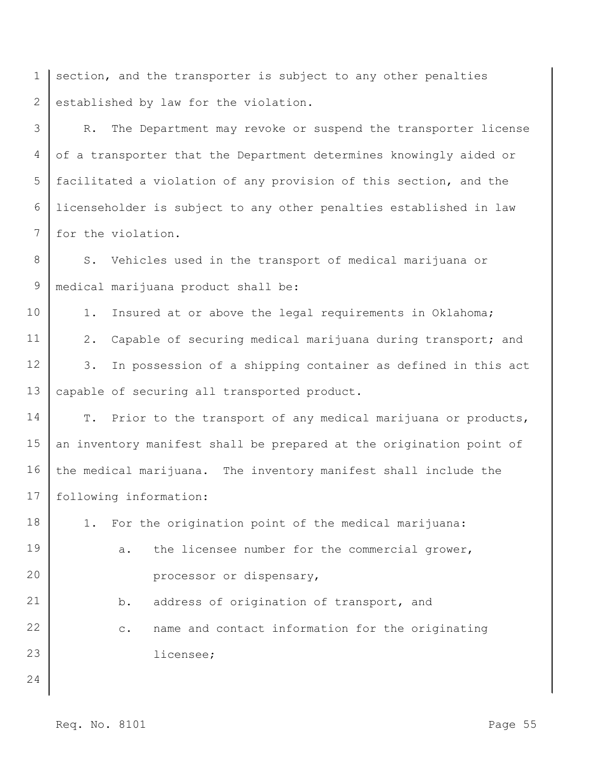1 2 section, and the transporter is subject to any other penalties established by law for the violation.

3 4 5 6 7 R. The Department may revoke or suspend the transporter license of a transporter that the Department determines knowingly aided or facilitated a violation of any provision of this section, and the licenseholder is subject to any other penalties established in law for the violation.

8 9 S. Vehicles used in the transport of medical marijuana or medical marijuana product shall be:

10 11 12 13 1. Insured at or above the legal requirements in Oklahoma; 2. Capable of securing medical marijuana during transport; and 3. In possession of a shipping container as defined in this act capable of securing all transported product.

14 15 16 17 T. Prior to the transport of any medical marijuana or products, an inventory manifest shall be prepared at the origination point of the medical marijuana. The inventory manifest shall include the following information:

18 19 20 21 22 23 24 1. For the origination point of the medical marijuana: a. the licensee number for the commercial grower, processor or dispensary, b. address of origination of transport, and c. name and contact information for the originating licensee;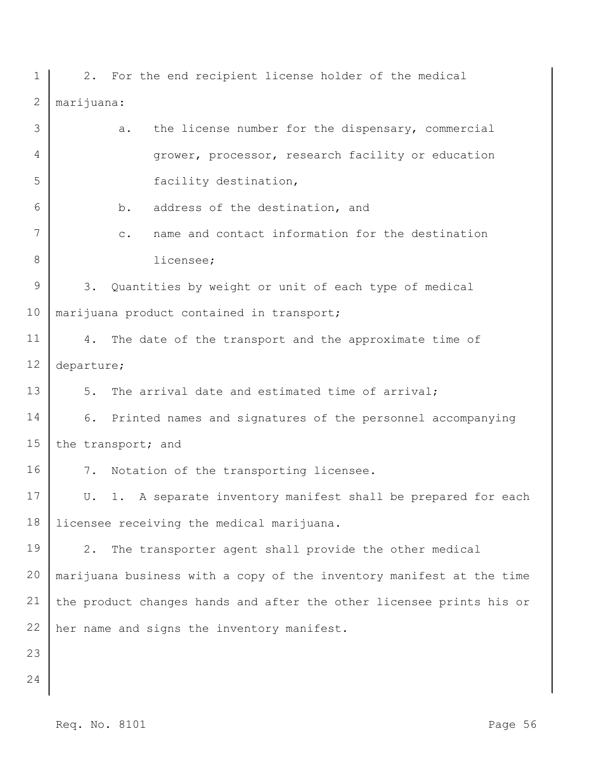1 2 3 4 5 6 7 8 9 10 11 12 13 14 15 16 17 18 19 20 21 22 23 24 2. For the end recipient license holder of the medical marijuana: a. the license number for the dispensary, commercial grower, processor, research facility or education facility destination, b. address of the destination, and c. name and contact information for the destination licensee; 3. Quantities by weight or unit of each type of medical marijuana product contained in transport; 4. The date of the transport and the approximate time of departure; 5. The arrival date and estimated time of arrival; 6. Printed names and signatures of the personnel accompanying the transport; and 7. Notation of the transporting licensee. U. 1. A separate inventory manifest shall be prepared for each licensee receiving the medical marijuana. 2. The transporter agent shall provide the other medical marijuana business with a copy of the inventory manifest at the time the product changes hands and after the other licensee prints his or her name and signs the inventory manifest.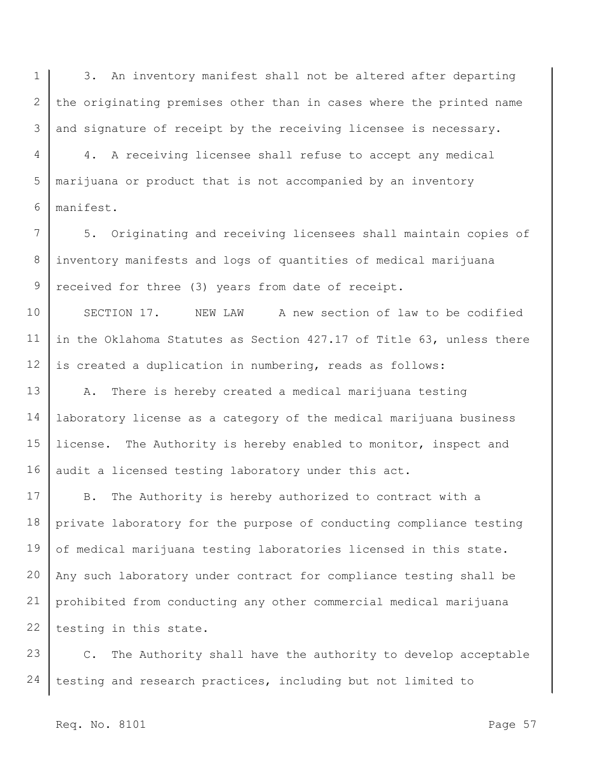1 2 3 3. An inventory manifest shall not be altered after departing the originating premises other than in cases where the printed name and signature of receipt by the receiving licensee is necessary.

4 5 6 4. A receiving licensee shall refuse to accept any medical marijuana or product that is not accompanied by an inventory manifest.

7 8 9 5. Originating and receiving licensees shall maintain copies of inventory manifests and logs of quantities of medical marijuana received for three (3) years from date of receipt.

10 11 12 SECTION 17. NEW LAW A new section of law to be codified in the Oklahoma Statutes as Section 427.17 of Title 63, unless there is created a duplication in numbering, reads as follows:

13 14 15 16 A. There is hereby created a medical marijuana testing laboratory license as a category of the medical marijuana business license. The Authority is hereby enabled to monitor, inspect and audit a licensed testing laboratory under this act.

17 18 19 20 21 22 B. The Authority is hereby authorized to contract with a private laboratory for the purpose of conducting compliance testing of medical marijuana testing laboratories licensed in this state. Any such laboratory under contract for compliance testing shall be prohibited from conducting any other commercial medical marijuana testing in this state.

23 24 C. The Authority shall have the authority to develop acceptable testing and research practices, including but not limited to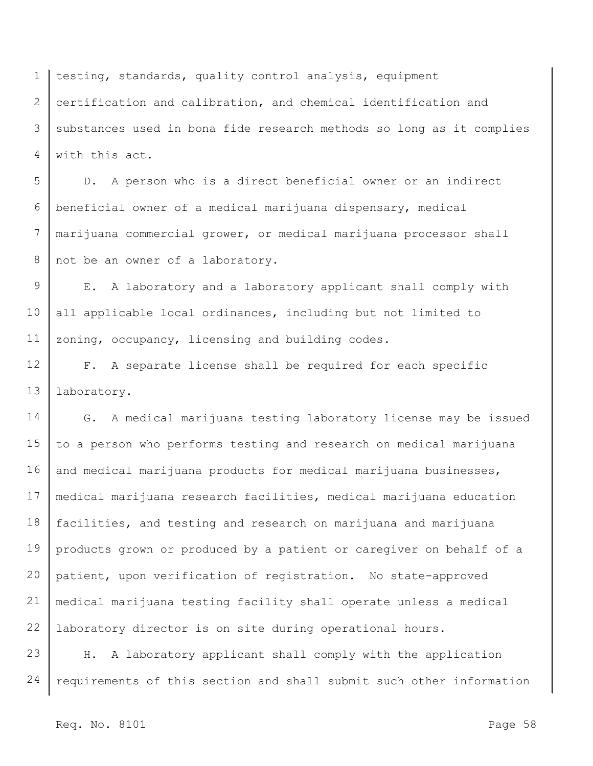1 2 3 4 testing, standards, quality control analysis, equipment certification and calibration, and chemical identification and substances used in bona fide research methods so long as it complies with this act.

5 6 7 8 D. A person who is a direct beneficial owner or an indirect beneficial owner of a medical marijuana dispensary, medical marijuana commercial grower, or medical marijuana processor shall not be an owner of a laboratory.

9 10 11 E. A laboratory and a laboratory applicant shall comply with all applicable local ordinances, including but not limited to zoning, occupancy, licensing and building codes.

12 13 F. A separate license shall be required for each specific laboratory.

14 15 16 17 18 19 20 21 22 G. A medical marijuana testing laboratory license may be issued to a person who performs testing and research on medical marijuana and medical marijuana products for medical marijuana businesses, medical marijuana research facilities, medical marijuana education facilities, and testing and research on marijuana and marijuana products grown or produced by a patient or caregiver on behalf of a patient, upon verification of registration. No state-approved medical marijuana testing facility shall operate unless a medical laboratory director is on site during operational hours.

23 24 H. A laboratory applicant shall comply with the application requirements of this section and shall submit such other information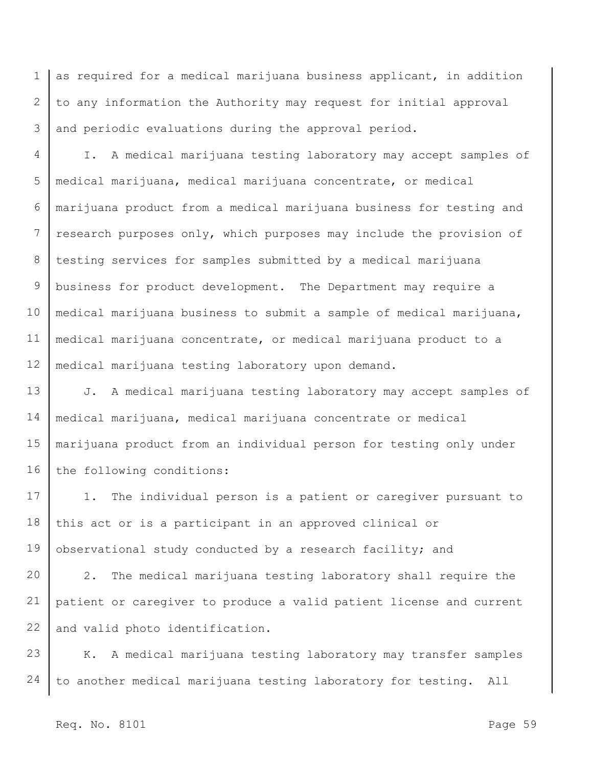1 2 3 as required for a medical marijuana business applicant, in addition to any information the Authority may request for initial approval and periodic evaluations during the approval period.

4 5 6 7 8 9 10 11 12 I. A medical marijuana testing laboratory may accept samples of medical marijuana, medical marijuana concentrate, or medical marijuana product from a medical marijuana business for testing and research purposes only, which purposes may include the provision of testing services for samples submitted by a medical marijuana business for product development. The Department may require a medical marijuana business to submit a sample of medical marijuana, medical marijuana concentrate, or medical marijuana product to a medical marijuana testing laboratory upon demand.

13 14 15 16 J. A medical marijuana testing laboratory may accept samples of medical marijuana, medical marijuana concentrate or medical marijuana product from an individual person for testing only under the following conditions:

17 18 19 1. The individual person is a patient or caregiver pursuant to this act or is a participant in an approved clinical or observational study conducted by a research facility; and

20 21 22 2. The medical marijuana testing laboratory shall require the patient or caregiver to produce a valid patient license and current and valid photo identification.

23 24 K. A medical marijuana testing laboratory may transfer samples to another medical marijuana testing laboratory for testing. All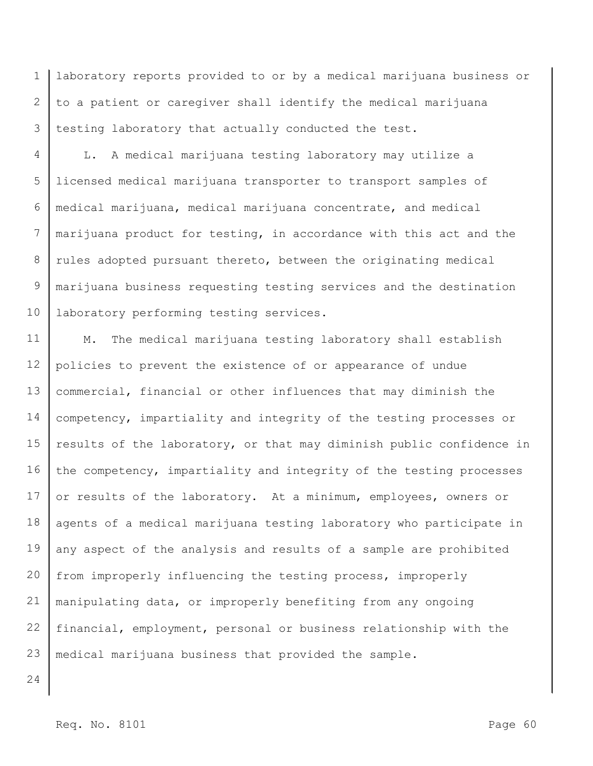1 2 3 laboratory reports provided to or by a medical marijuana business or to a patient or caregiver shall identify the medical marijuana testing laboratory that actually conducted the test.

4 5 6 7 8 9 10 L. A medical marijuana testing laboratory may utilize a licensed medical marijuana transporter to transport samples of medical marijuana, medical marijuana concentrate, and medical marijuana product for testing, in accordance with this act and the rules adopted pursuant thereto, between the originating medical marijuana business requesting testing services and the destination laboratory performing testing services.

11 12 13 14 15 16 17 18 19 20 21 22 23 M. The medical marijuana testing laboratory shall establish policies to prevent the existence of or appearance of undue commercial, financial or other influences that may diminish the competency, impartiality and integrity of the testing processes or results of the laboratory, or that may diminish public confidence in the competency, impartiality and integrity of the testing processes or results of the laboratory. At a minimum, employees, owners or agents of a medical marijuana testing laboratory who participate in any aspect of the analysis and results of a sample are prohibited from improperly influencing the testing process, improperly manipulating data, or improperly benefiting from any ongoing financial, employment, personal or business relationship with the medical marijuana business that provided the sample.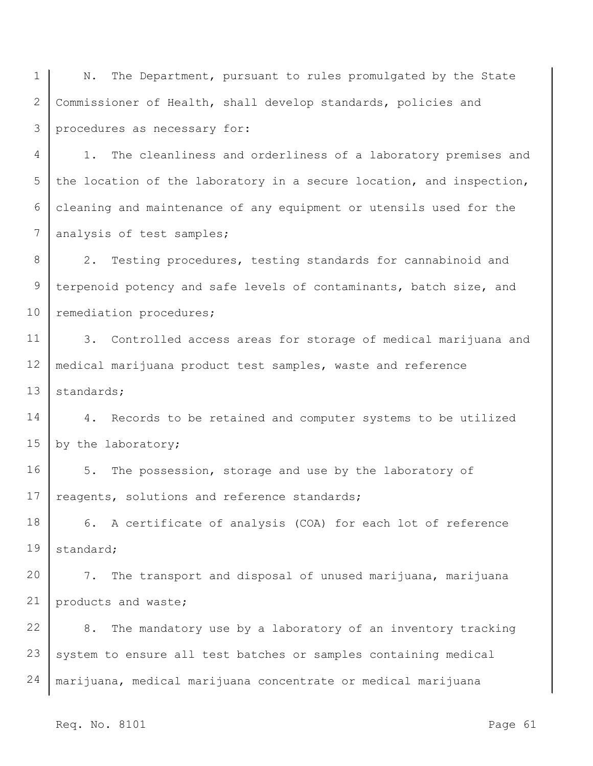1 2 3 N. The Department, pursuant to rules promulgated by the State Commissioner of Health, shall develop standards, policies and procedures as necessary for:

4 5 6 7 1. The cleanliness and orderliness of a laboratory premises and the location of the laboratory in a secure location, and inspection, cleaning and maintenance of any equipment or utensils used for the analysis of test samples;

8 9 10 2. Testing procedures, testing standards for cannabinoid and terpenoid potency and safe levels of contaminants, batch size, and remediation procedures;

11 12 13 3. Controlled access areas for storage of medical marijuana and medical marijuana product test samples, waste and reference standards;

14 15 4. Records to be retained and computer systems to be utilized by the laboratory;

16 17 5. The possession, storage and use by the laboratory of reagents, solutions and reference standards;

18 19 6. A certificate of analysis (COA) for each lot of reference standard;

20 21 7. The transport and disposal of unused marijuana, marijuana products and waste;

22 23 24 8. The mandatory use by a laboratory of an inventory tracking system to ensure all test batches or samples containing medical marijuana, medical marijuana concentrate or medical marijuana

Req. No. 8101 Page 61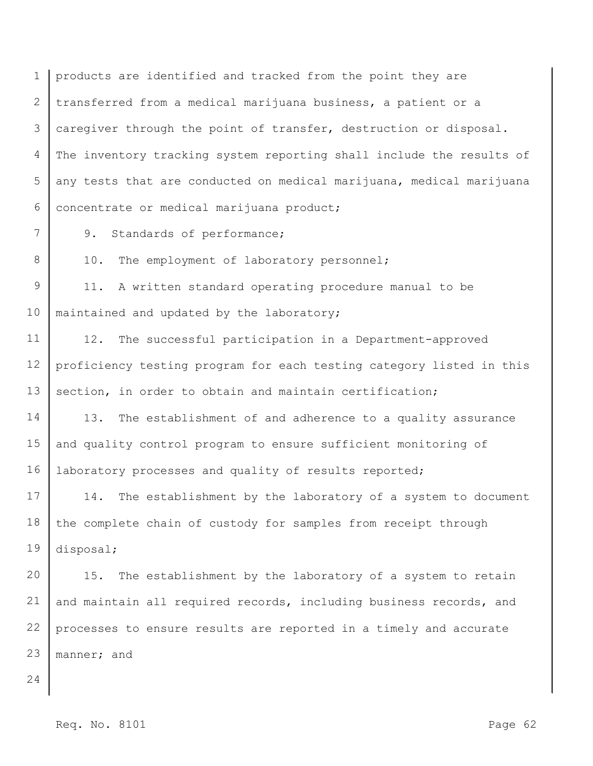1 2 3 4 5 6 products are identified and tracked from the point they are transferred from a medical marijuana business, a patient or a caregiver through the point of transfer, destruction or disposal. The inventory tracking system reporting shall include the results of any tests that are conducted on medical marijuana, medical marijuana concentrate or medical marijuana product;

9. Standards of performance;

10. The employment of laboratory personnel;

9 10 11. A written standard operating procedure manual to be maintained and updated by the laboratory;

11 12 13 12. The successful participation in a Department-approved proficiency testing program for each testing category listed in this section, in order to obtain and maintain certification;

14 15 16 13. The establishment of and adherence to a quality assurance and quality control program to ensure sufficient monitoring of laboratory processes and quality of results reported;

17 18 19 14. The establishment by the laboratory of a system to document the complete chain of custody for samples from receipt through disposal;

20 21 22 23 15. The establishment by the laboratory of a system to retain and maintain all required records, including business records, and processes to ensure results are reported in a timely and accurate manner; and

24

7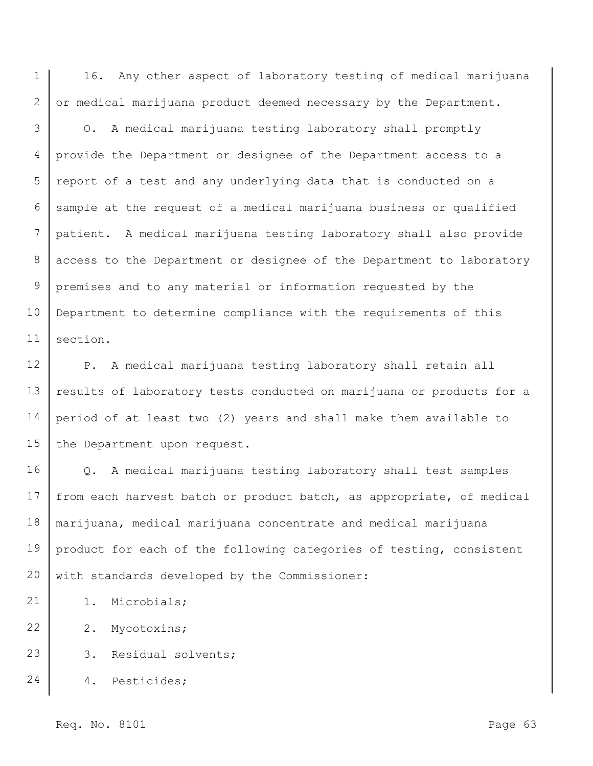1 2 16. Any other aspect of laboratory testing of medical marijuana or medical marijuana product deemed necessary by the Department.

3 4 5 6 7 8 9 10 11 O. A medical marijuana testing laboratory shall promptly provide the Department or designee of the Department access to a report of a test and any underlying data that is conducted on a sample at the request of a medical marijuana business or qualified patient. A medical marijuana testing laboratory shall also provide access to the Department or designee of the Department to laboratory premises and to any material or information requested by the Department to determine compliance with the requirements of this section.

12 13 14 15 P. A medical marijuana testing laboratory shall retain all results of laboratory tests conducted on marijuana or products for a period of at least two (2) years and shall make them available to the Department upon request.

16 17 18 19 20 Q. A medical marijuana testing laboratory shall test samples from each harvest batch or product batch, as appropriate, of medical marijuana, medical marijuana concentrate and medical marijuana product for each of the following categories of testing, consistent with standards developed by the Commissioner:

21 1. Microbials;

22 2. Mycotoxins;

23 3. Residual solvents;

24 4. Pesticides;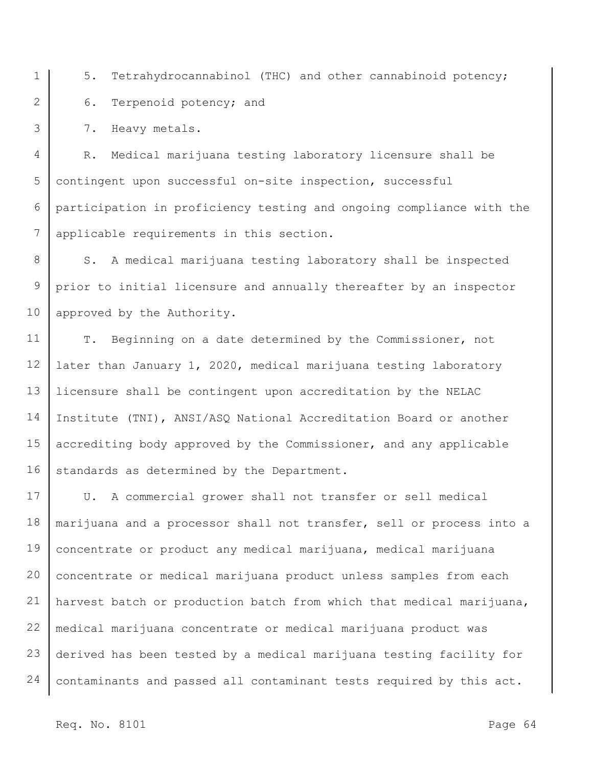1 2

3

5. Tetrahydrocannabinol (THC) and other cannabinoid potency; 6. Terpenoid potency; and

7. Heavy metals.

4 5 6 7 R. Medical marijuana testing laboratory licensure shall be contingent upon successful on-site inspection, successful participation in proficiency testing and ongoing compliance with the applicable requirements in this section.

8 9 10 S. A medical marijuana testing laboratory shall be inspected prior to initial licensure and annually thereafter by an inspector approved by the Authority.

11 12 13 14 15 16 T. Beginning on a date determined by the Commissioner, not later than January 1, 2020, medical marijuana testing laboratory licensure shall be contingent upon accreditation by the NELAC Institute (TNI), ANSI/ASQ National Accreditation Board or another accrediting body approved by the Commissioner, and any applicable standards as determined by the Department.

17 18 19 20 21 22 23 24 U. A commercial grower shall not transfer or sell medical marijuana and a processor shall not transfer, sell or process into a concentrate or product any medical marijuana, medical marijuana concentrate or medical marijuana product unless samples from each harvest batch or production batch from which that medical marijuana, medical marijuana concentrate or medical marijuana product was derived has been tested by a medical marijuana testing facility for contaminants and passed all contaminant tests required by this act.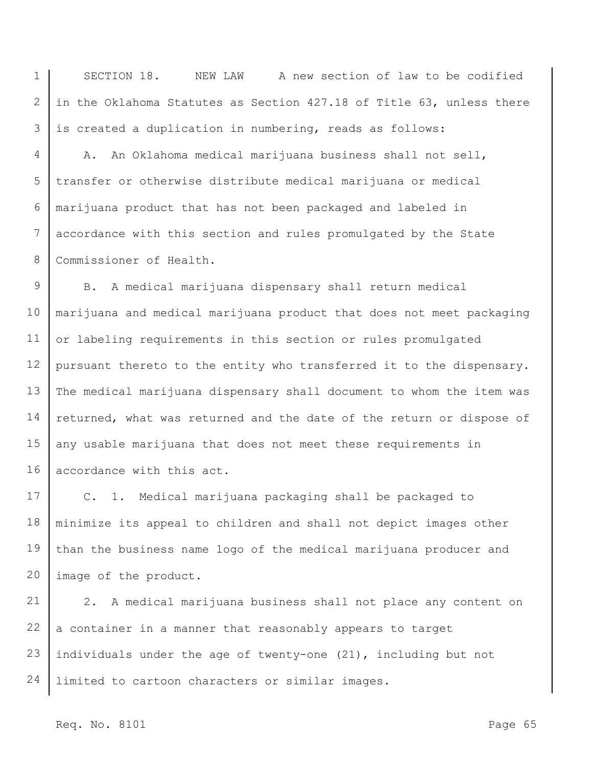1 2 3 SECTION 18. NEW LAW A new section of law to be codified in the Oklahoma Statutes as Section 427.18 of Title 63, unless there is created a duplication in numbering, reads as follows:

4 5 6 7 8 A. An Oklahoma medical marijuana business shall not sell, transfer or otherwise distribute medical marijuana or medical marijuana product that has not been packaged and labeled in accordance with this section and rules promulgated by the State Commissioner of Health.

9 10 11 12 13 14 15 16 B. A medical marijuana dispensary shall return medical marijuana and medical marijuana product that does not meet packaging or labeling requirements in this section or rules promulgated pursuant thereto to the entity who transferred it to the dispensary. The medical marijuana dispensary shall document to whom the item was returned, what was returned and the date of the return or dispose of any usable marijuana that does not meet these requirements in accordance with this act.

17 18 19 20 C. 1. Medical marijuana packaging shall be packaged to minimize its appeal to children and shall not depict images other than the business name logo of the medical marijuana producer and image of the product.

21 22 23 24 2. A medical marijuana business shall not place any content on a container in a manner that reasonably appears to target individuals under the age of twenty-one (21), including but not limited to cartoon characters or similar images.

Req. No. 8101 Page 65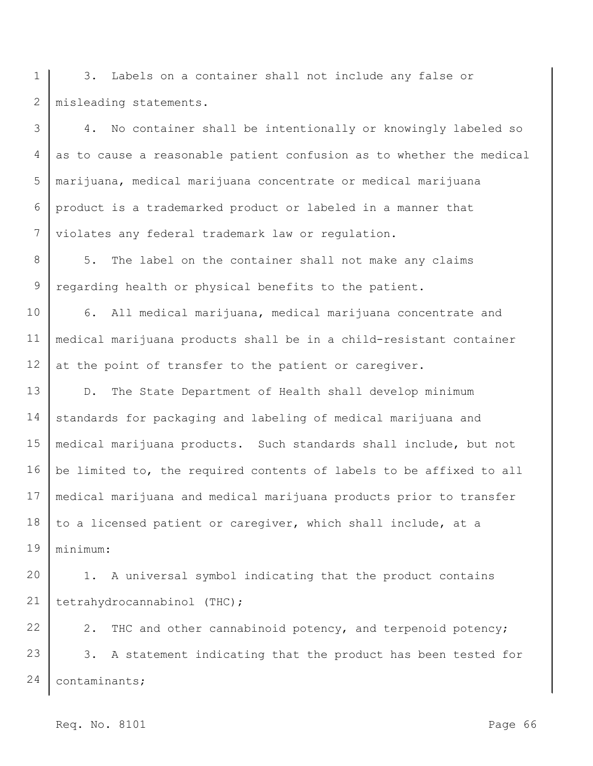1 2 3. Labels on a container shall not include any false or misleading statements.

3 4 5 6 7 4. No container shall be intentionally or knowingly labeled so as to cause a reasonable patient confusion as to whether the medical marijuana, medical marijuana concentrate or medical marijuana product is a trademarked product or labeled in a manner that violates any federal trademark law or regulation.

8 9 5. The label on the container shall not make any claims regarding health or physical benefits to the patient.

10 11 12 6. All medical marijuana, medical marijuana concentrate and medical marijuana products shall be in a child-resistant container at the point of transfer to the patient or caregiver.

13 14 15 16 17 18 19 D. The State Department of Health shall develop minimum standards for packaging and labeling of medical marijuana and medical marijuana products. Such standards shall include, but not be limited to, the required contents of labels to be affixed to all medical marijuana and medical marijuana products prior to transfer to a licensed patient or caregiver, which shall include, at a minimum:

20 21 1. A universal symbol indicating that the product contains tetrahydrocannabinol (THC);

22 23 24 2. THC and other cannabinoid potency, and terpenoid potency; 3. A statement indicating that the product has been tested for contaminants;

Req. No. 8101 Page 66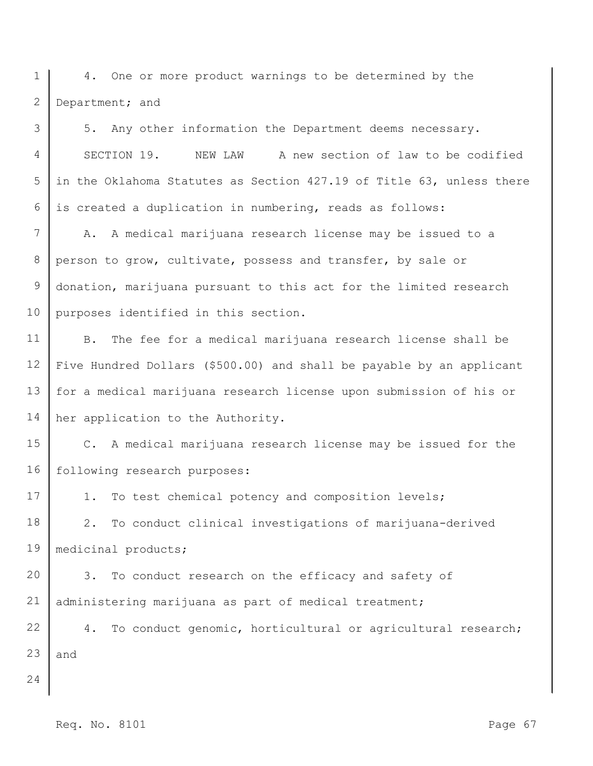1 2 4. One or more product warnings to be determined by the Department; and

3 4 5 6 5. Any other information the Department deems necessary. SECTION 19. NEW LAW A new section of law to be codified in the Oklahoma Statutes as Section 427.19 of Title 63, unless there is created a duplication in numbering, reads as follows:

7 8 9 10 A. A medical marijuana research license may be issued to a person to grow, cultivate, possess and transfer, by sale or donation, marijuana pursuant to this act for the limited research purposes identified in this section.

11 12 13 14 B. The fee for a medical marijuana research license shall be Five Hundred Dollars (\$500.00) and shall be payable by an applicant for a medical marijuana research license upon submission of his or her application to the Authority.

15 16 C. A medical marijuana research license may be issued for the following research purposes:

17 1. To test chemical potency and composition levels;

18 19 2. To conduct clinical investigations of marijuana-derived medicinal products;

20 21 3. To conduct research on the efficacy and safety of administering marijuana as part of medical treatment;

22 23 4. To conduct genomic, horticultural or agricultural research; and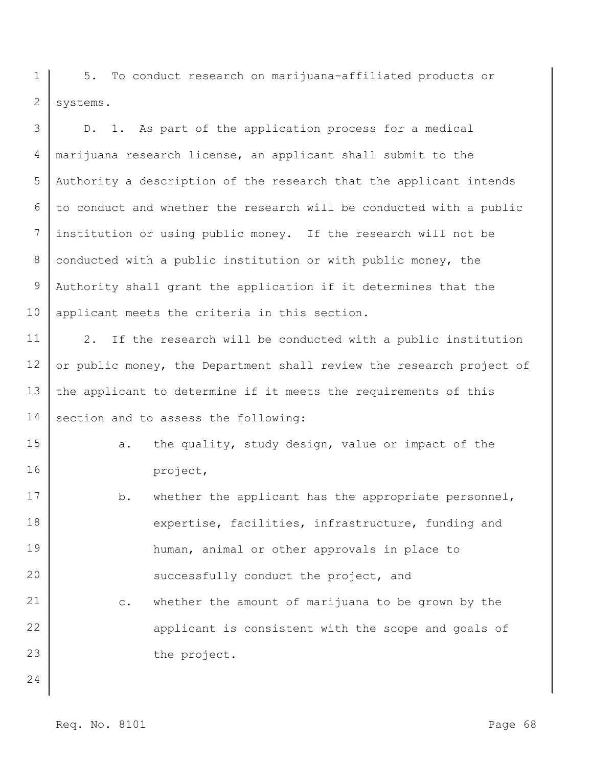1 2 5. To conduct research on marijuana-affiliated products or systems.

3 4 5 6 7 8 9 10 D. 1. As part of the application process for a medical marijuana research license, an applicant shall submit to the Authority a description of the research that the applicant intends to conduct and whether the research will be conducted with a public institution or using public money. If the research will not be conducted with a public institution or with public money, the Authority shall grant the application if it determines that the applicant meets the criteria in this section.

11 12 13 14 2. If the research will be conducted with a public institution or public money, the Department shall review the research project of the applicant to determine if it meets the requirements of this section and to assess the following:

a. the quality, study design, value or impact of the project,

17 18 19 20 21 22 23 24 b. whether the applicant has the appropriate personnel, expertise, facilities, infrastructure, funding and human, animal or other approvals in place to successfully conduct the project, and c. whether the amount of marijuana to be grown by the applicant is consistent with the scope and goals of the project.

15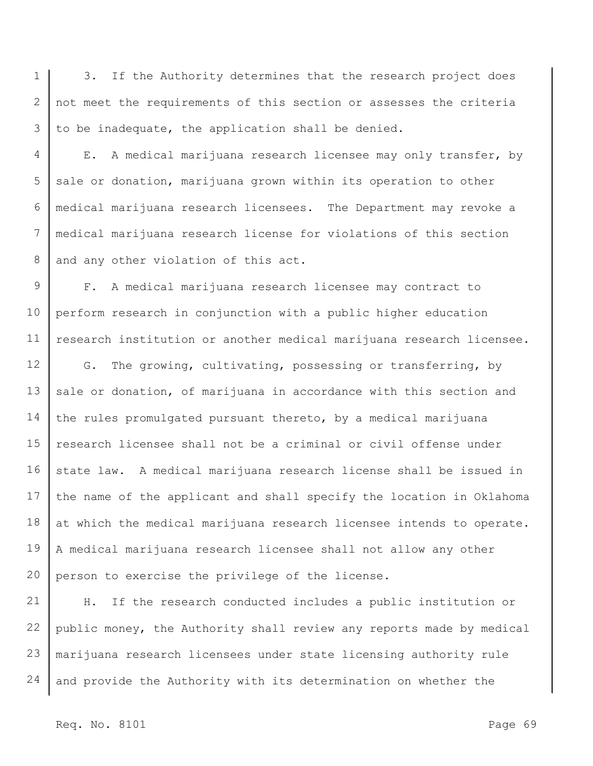1 2 3 3. If the Authority determines that the research project does not meet the requirements of this section or assesses the criteria to be inadequate, the application shall be denied.

4 5 6 7 8 E. A medical marijuana research licensee may only transfer, by sale or donation, marijuana grown within its operation to other medical marijuana research licensees. The Department may revoke a medical marijuana research license for violations of this section and any other violation of this act.

9 10 11 F. A medical marijuana research licensee may contract to perform research in conjunction with a public higher education research institution or another medical marijuana research licensee.

12 13 14 15 16 17 18 19 20 G. The growing, cultivating, possessing or transferring, by sale or donation, of marijuana in accordance with this section and the rules promulgated pursuant thereto, by a medical marijuana research licensee shall not be a criminal or civil offense under state law. A medical marijuana research license shall be issued in the name of the applicant and shall specify the location in Oklahoma at which the medical marijuana research licensee intends to operate. A medical marijuana research licensee shall not allow any other person to exercise the privilege of the license.

21 22 23 24 H. If the research conducted includes a public institution or public money, the Authority shall review any reports made by medical marijuana research licensees under state licensing authority rule and provide the Authority with its determination on whether the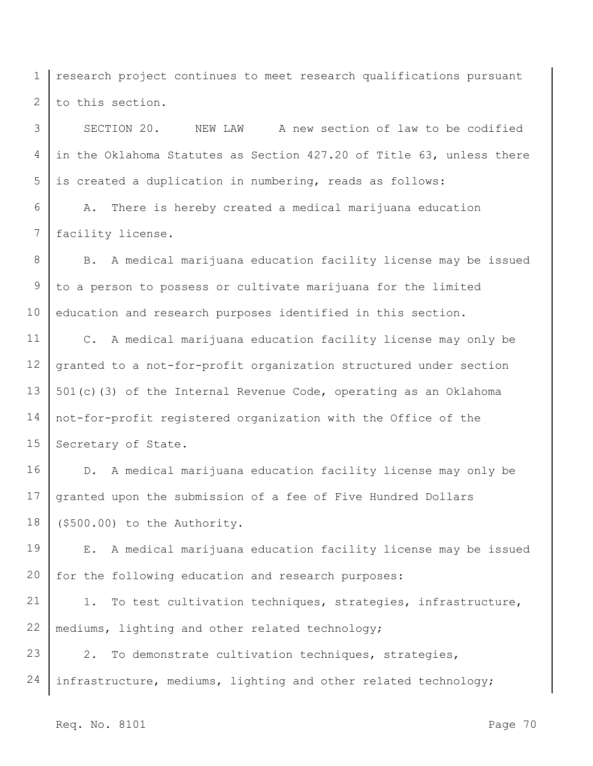1 2 research project continues to meet research qualifications pursuant to this section.

3 4 5 SECTION 20. NEW LAW A new section of law to be codified in the Oklahoma Statutes as Section 427.20 of Title 63, unless there is created a duplication in numbering, reads as follows:

6 7 A. There is hereby created a medical marijuana education facility license.

8 9 10 B. A medical marijuana education facility license may be issued to a person to possess or cultivate marijuana for the limited education and research purposes identified in this section.

11 12 13 14 15 C. A medical marijuana education facility license may only be granted to a not-for-profit organization structured under section 501(c)(3) of the Internal Revenue Code, operating as an Oklahoma not-for-profit registered organization with the Office of the Secretary of State.

16 17 18 D. A medical marijuana education facility license may only be granted upon the submission of a fee of Five Hundred Dollars (\$500.00) to the Authority.

19 20 E. A medical marijuana education facility license may be issued for the following education and research purposes:

21 22 1. To test cultivation techniques, strategies, infrastructure, mediums, lighting and other related technology;

23 24 2. To demonstrate cultivation techniques, strategies, infrastructure, mediums, lighting and other related technology;

Req. No. 8101 Page 70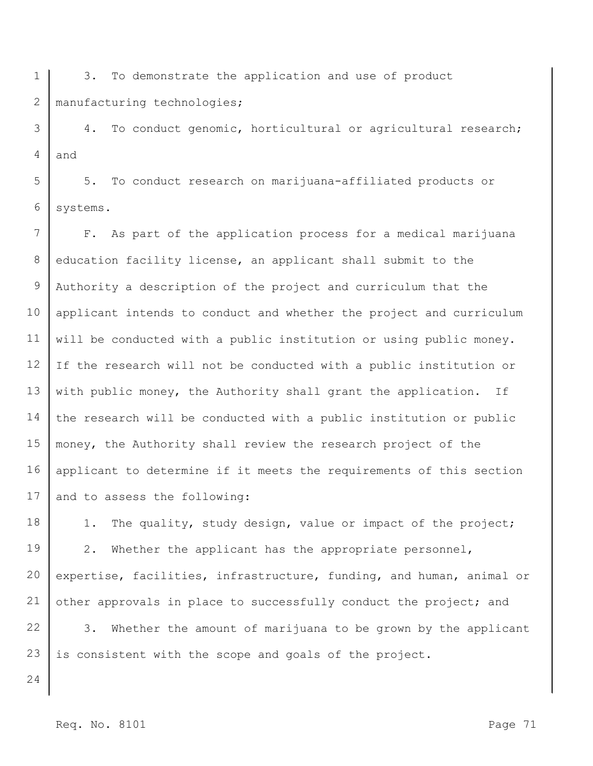1 2 3. To demonstrate the application and use of product manufacturing technologies;

3 4 4. To conduct genomic, horticultural or agricultural research; and

5 6 5. To conduct research on marijuana-affiliated products or systems.

7 8 9 10 11 12 13 14 15 16 17 F. As part of the application process for a medical marijuana education facility license, an applicant shall submit to the Authority a description of the project and curriculum that the applicant intends to conduct and whether the project and curriculum will be conducted with a public institution or using public money. If the research will not be conducted with a public institution or with public money, the Authority shall grant the application. If the research will be conducted with a public institution or public money, the Authority shall review the research project of the applicant to determine if it meets the requirements of this section and to assess the following:

18 19 20 21 1. The quality, study design, value or impact of the project; 2. Whether the applicant has the appropriate personnel, expertise, facilities, infrastructure, funding, and human, animal or other approvals in place to successfully conduct the project; and

22 23 3. Whether the amount of marijuana to be grown by the applicant is consistent with the scope and goals of the project.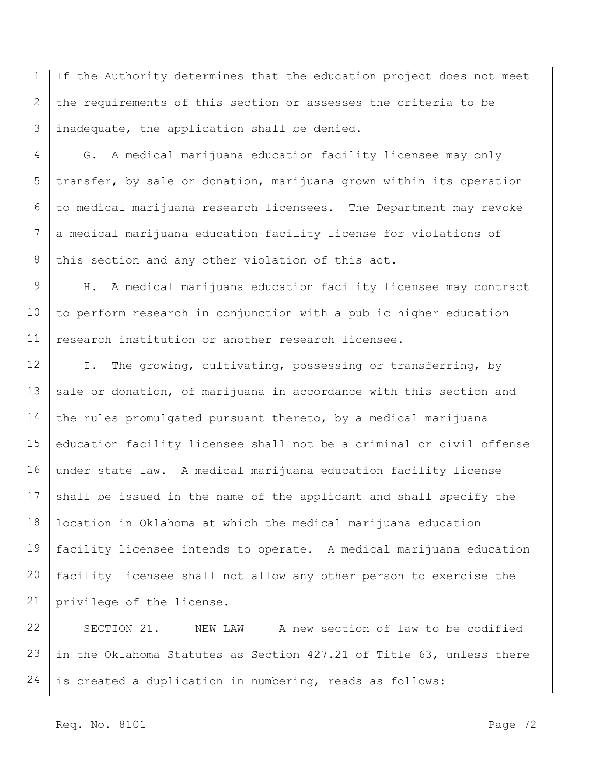1 2 3 If the Authority determines that the education project does not meet the requirements of this section or assesses the criteria to be inadequate, the application shall be denied.

4 5 6 7 8 G. A medical marijuana education facility licensee may only transfer, by sale or donation, marijuana grown within its operation to medical marijuana research licensees. The Department may revoke a medical marijuana education facility license for violations of this section and any other violation of this act.

9 10 11 H. A medical marijuana education facility licensee may contract to perform research in conjunction with a public higher education research institution or another research licensee.

12 13 14 15 16 17 18 19 20 21 I. The growing, cultivating, possessing or transferring, by sale or donation, of marijuana in accordance with this section and the rules promulgated pursuant thereto, by a medical marijuana education facility licensee shall not be a criminal or civil offense under state law. A medical marijuana education facility license shall be issued in the name of the applicant and shall specify the location in Oklahoma at which the medical marijuana education facility licensee intends to operate. A medical marijuana education facility licensee shall not allow any other person to exercise the privilege of the license.

22 23 24 SECTION 21. NEW LAW A new section of law to be codified in the Oklahoma Statutes as Section 427.21 of Title 63, unless there is created a duplication in numbering, reads as follows:

## Req. No. 8101 Page 72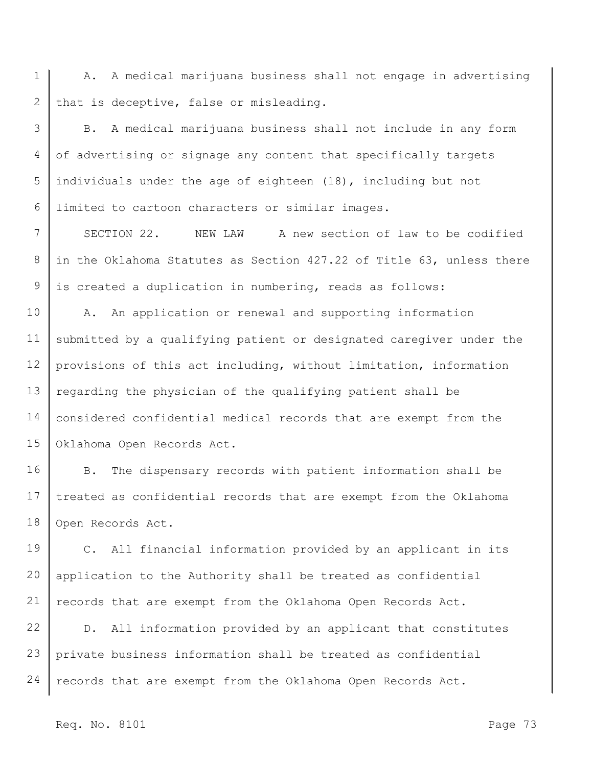1 2 A. A medical marijuana business shall not engage in advertising that is deceptive, false or misleading.

3 4 5 6 B. A medical marijuana business shall not include in any form of advertising or signage any content that specifically targets individuals under the age of eighteen (18), including but not limited to cartoon characters or similar images.

7 8 9 SECTION 22. NEW LAW A new section of law to be codified in the Oklahoma Statutes as Section 427.22 of Title 63, unless there is created a duplication in numbering, reads as follows:

10 11 12 13 14 15 A. An application or renewal and supporting information submitted by a qualifying patient or designated caregiver under the provisions of this act including, without limitation, information regarding the physician of the qualifying patient shall be considered confidential medical records that are exempt from the Oklahoma Open Records Act.

16 17 18 B. The dispensary records with patient information shall be treated as confidential records that are exempt from the Oklahoma Open Records Act.

19 20 21 C. All financial information provided by an applicant in its application to the Authority shall be treated as confidential records that are exempt from the Oklahoma Open Records Act.

22 23 24 D. All information provided by an applicant that constitutes private business information shall be treated as confidential records that are exempt from the Oklahoma Open Records Act.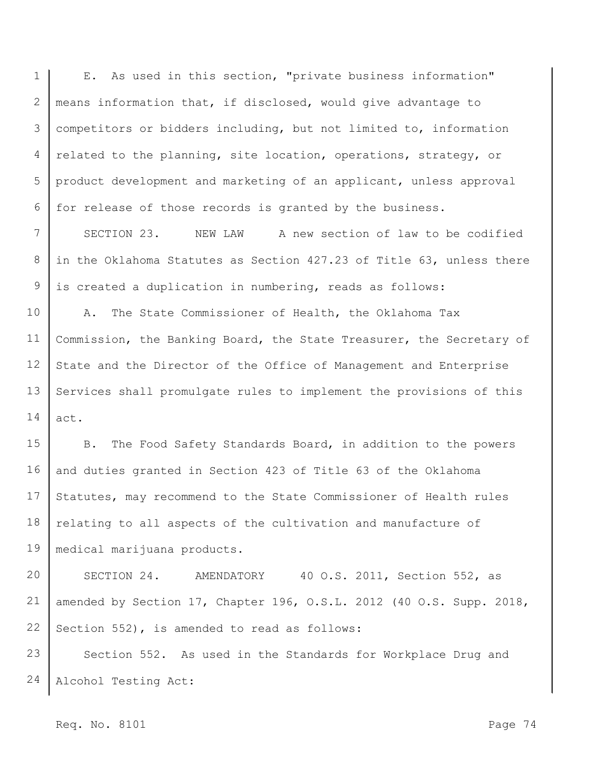1 2 3 4 5 6 E. As used in this section, "private business information" means information that, if disclosed, would give advantage to competitors or bidders including, but not limited to, information related to the planning, site location, operations, strategy, or product development and marketing of an applicant, unless approval for release of those records is granted by the business.

7 8 9 SECTION 23. NEW LAW A new section of law to be codified in the Oklahoma Statutes as Section 427.23 of Title 63, unless there is created a duplication in numbering, reads as follows:

10 11 12 13 14 A. The State Commissioner of Health, the Oklahoma Tax Commission, the Banking Board, the State Treasurer, the Secretary of State and the Director of the Office of Management and Enterprise Services shall promulgate rules to implement the provisions of this act.

15 16 17 18 19 B. The Food Safety Standards Board, in addition to the powers and duties granted in Section 423 of Title 63 of the Oklahoma Statutes, may recommend to the State Commissioner of Health rules relating to all aspects of the cultivation and manufacture of medical marijuana products.

20 21 22 SECTION 24. AMENDATORY 40 O.S. 2011, Section 552, as amended by Section 17, Chapter 196, O.S.L. 2012 (40 O.S. Supp. 2018, Section 552), is amended to read as follows:

23 24 Section 552. As used in the Standards for Workplace Drug and Alcohol Testing Act:

Req. No. 8101 Page 74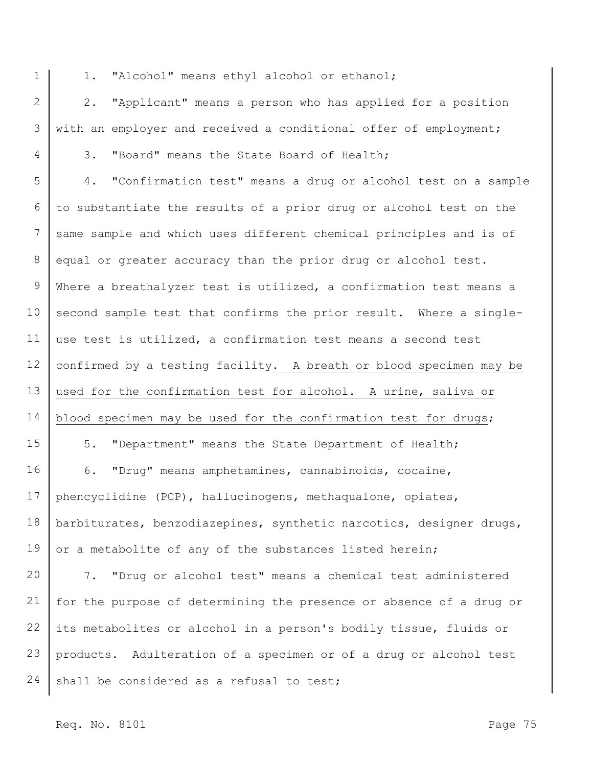1

4

1. "Alcohol" means ethyl alcohol or ethanol;

2 3 2. "Applicant" means a person who has applied for a position with an employer and received a conditional offer of employment;

3. "Board" means the State Board of Health;

5 6 7 8 9 10 11 12 13 14 15 16 17 4. "Confirmation test" means a drug or alcohol test on a sample to substantiate the results of a prior drug or alcohol test on the same sample and which uses different chemical principles and is of equal or greater accuracy than the prior drug or alcohol test. Where a breathalyzer test is utilized, a confirmation test means a second sample test that confirms the prior result. Where a singleuse test is utilized, a confirmation test means a second test confirmed by a testing facility. A breath or blood specimen may be used for the confirmation test for alcohol. A urine, saliva or blood specimen may be used for the confirmation test for drugs; 5. "Department" means the State Department of Health; 6. "Drug" means amphetamines, cannabinoids, cocaine, phencyclidine (PCP), hallucinogens, methaqualone, opiates,

18 19 barbiturates, benzodiazepines, synthetic narcotics, designer drugs, or a metabolite of any of the substances listed herein;

20 21 22 23 24 7. "Drug or alcohol test" means a chemical test administered for the purpose of determining the presence or absence of a drug or its metabolites or alcohol in a person's bodily tissue, fluids or products. Adulteration of a specimen or of a drug or alcohol test shall be considered as a refusal to test;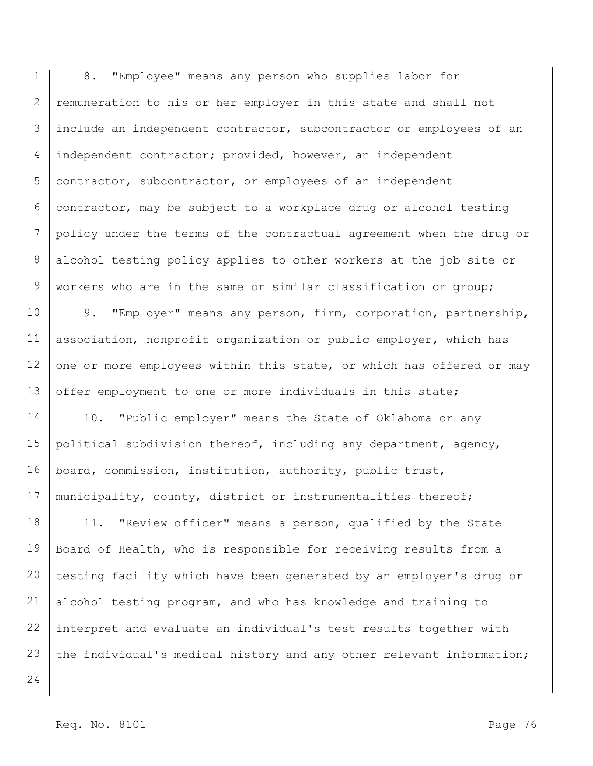1 2 3 4 5 6 7 8 9 8. "Employee" means any person who supplies labor for remuneration to his or her employer in this state and shall not include an independent contractor, subcontractor or employees of an independent contractor; provided, however, an independent contractor, subcontractor, or employees of an independent contractor, may be subject to a workplace drug or alcohol testing policy under the terms of the contractual agreement when the drug or alcohol testing policy applies to other workers at the job site or workers who are in the same or similar classification or group;

10 11 12 13 9. "Employer" means any person, firm, corporation, partnership, association, nonprofit organization or public employer, which has one or more employees within this state, or which has offered or may offer employment to one or more individuals in this state;

14 15 16 17 10. "Public employer" means the State of Oklahoma or any political subdivision thereof, including any department, agency, board, commission, institution, authority, public trust, municipality, county, district or instrumentalities thereof;

18 19 20 21 22 23 11. "Review officer" means a person, qualified by the State Board of Health, who is responsible for receiving results from a testing facility which have been generated by an employer's drug or alcohol testing program, and who has knowledge and training to interpret and evaluate an individual's test results together with the individual's medical history and any other relevant information;

24